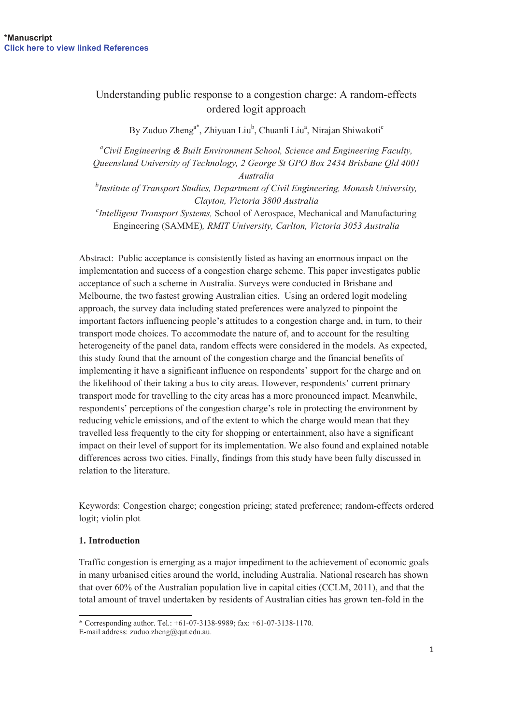# Understanding public response to a congestion charge: A random-effects ordered logit approach

By Zuduo Zheng<sup>a\*</sup>, Zhiyuan Liu<sup>b</sup>, Chuanli Liu<sup>a</sup>, Nirajan Shiwakoti<sup>c</sup>

*<sup>a</sup>Civil Engineering & Built Environment School, Science and Engineering Faculty, Queensland University of Technology, 2 George St GPO Box 2434 Brisbane Qld 4001 Australia b Institute of Transport Studies, Department of Civil Engineering, Monash University, Clayton, Victoria 3800 Australia c Intelligent Transport Systems,* School of Aerospace, Mechanical and Manufacturing

Engineering (SAMME)*, RMIT University, Carlton, Victoria 3053 Australia* 

Abstract: Public acceptance is consistently listed as having an enormous impact on the implementation and success of a congestion charge scheme. This paper investigates public acceptance of such a scheme in Australia. Surveys were conducted in Brisbane and Melbourne, the two fastest growing Australian cities. Using an ordered logit modeling approach, the survey data including stated preferences were analyzed to pinpoint the important factors influencing people's attitudes to a congestion charge and, in turn, to their transport mode choices. To accommodate the nature of, and to account for the resulting heterogeneity of the panel data, random effects were considered in the models. As expected, this study found that the amount of the congestion charge and the financial benefits of implementing it have a significant influence on respondents' support for the charge and on the likelihood of their taking a bus to city areas. However, respondents' current primary transport mode for travelling to the city areas has a more pronounced impact. Meanwhile, respondents' perceptions of the congestion charge's role in protecting the environment by reducing vehicle emissions, and of the extent to which the charge would mean that they travelled less frequently to the city for shopping or entertainment, also have a significant impact on their level of support for its implementation. We also found and explained notable differences across two cities. Finally, findings from this study have been fully discussed in relation to the literature.

Keywords: Congestion charge; congestion pricing; stated preference; random-effects ordered logit; violin plot

# **1. Introduction**

----------------------------------------------------------

Traffic congestion is emerging as a major impediment to the achievement of economic goals in many urbanised cities around the world, including Australia. National research has shown that over 60% of the Australian population live in capital cities (CCLM, 2011), and that the total amount of travel undertaken by residents of Australian cities has grown ten-fold in the

<sup>-</sup>-\* Corresponding author. Tel.: +61-07-3138-9989; fax: +61-07-3138-1170.

E-mail address: zuduo.zheng@qut.edu.au.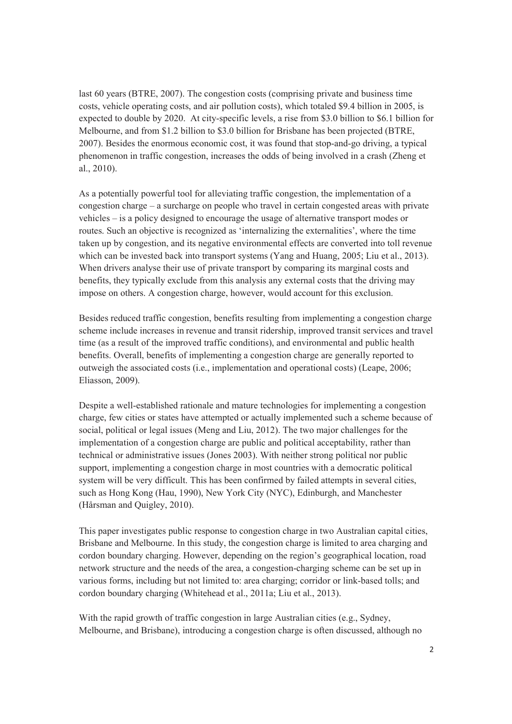last 60 years (BTRE, 2007). The congestion costs (comprising private and business time costs, vehicle operating costs, and air pollution costs), which totaled \$9.4 billion in 2005, is expected to double by 2020. At city-specific levels, a rise from \$3.0 billion to \$6.1 billion for Melbourne, and from \$1.2 billion to \$3.0 billion for Brisbane has been projected (BTRE, 2007). Besides the enormous economic cost, it was found that stop-and-go driving, a typical phenomenon in traffic congestion, increases the odds of being involved in a crash (Zheng et al., 2010).

As a potentially powerful tool for alleviating traffic congestion, the implementation of a congestion charge – a surcharge on people who travel in certain congested areas with private vehicles – is a policy designed to encourage the usage of alternative transport modes or routes. Such an objective is recognized as 'internalizing the externalities', where the time taken up by congestion, and its negative environmental effects are converted into toll revenue which can be invested back into transport systems (Yang and Huang, 2005; Liu et al., 2013). When drivers analyse their use of private transport by comparing its marginal costs and benefits, they typically exclude from this analysis any external costs that the driving may impose on others. A congestion charge, however, would account for this exclusion.

Besides reduced traffic congestion, benefits resulting from implementing a congestion charge scheme include increases in revenue and transit ridership, improved transit services and travel time (as a result of the improved traffic conditions), and environmental and public health benefits. Overall, benefits of implementing a congestion charge are generally reported to outweigh the associated costs (i.e., implementation and operational costs) (Leape, 2006; Eliasson, 2009).

Despite a well-established rationale and mature technologies for implementing a congestion charge, few cities or states have attempted or actually implemented such a scheme because of social, political or legal issues (Meng and Liu, 2012). The two major challenges for the implementation of a congestion charge are public and political acceptability, rather than technical or administrative issues (Jones 2003). With neither strong political nor public support, implementing a congestion charge in most countries with a democratic political system will be very difficult. This has been confirmed by failed attempts in several cities, such as Hong Kong (Hau, 1990), New York City (NYC), Edinburgh, and Manchester (Hårsman and Quigley, 2010).

This paper investigates public response to congestion charge in two Australian capital cities, Brisbane and Melbourne. In this study, the congestion charge is limited to area charging and cordon boundary charging. However, depending on the region's geographical location, road network structure and the needs of the area, a congestion-charging scheme can be set up in various forms, including but not limited to: area charging; corridor or link-based tolls; and cordon boundary charging (Whitehead et al., 2011a; Liu et al., 2013).

With the rapid growth of traffic congestion in large Australian cities (e.g., Sydney, Melbourne, and Brisbane), introducing a congestion charge is often discussed, although no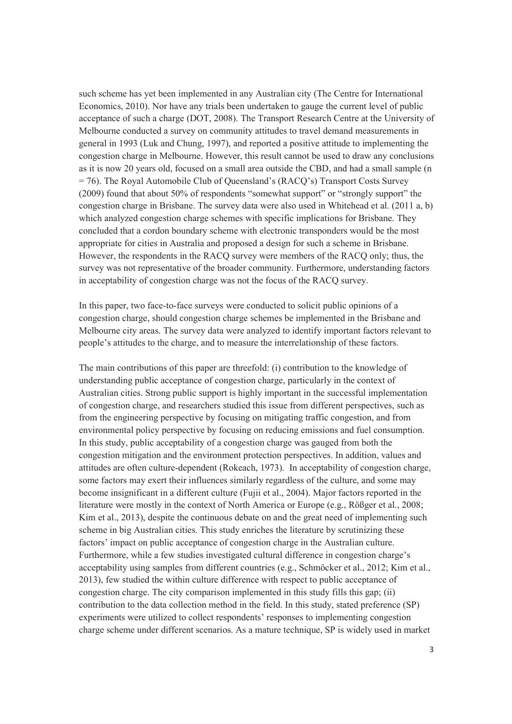such scheme has yet been implemented in any Australian city (The Centre for International Economics, 2010). Nor have any trials been undertaken to gauge the current level of public acceptance of such a charge (DOT, 2008). The Transport Research Centre at the University of Melbourne conducted a survey on community attitudes to travel demand measurements in general in 1993 (Luk and Chung, 1997), and reported a positive attitude to implementing the congestion charge in Melbourne. However, this result cannot be used to draw any conclusions as it is now 20 years old, focused on a small area outside the CBD, and had a small sample (n = 76). The Royal Automobile Club of Queensland's (RACQ's) Transport Costs Survey (2009) found that about 50% of respondents "somewhat support" or "strongly support" the congestion charge in Brisbane. The survey data were also used in Whitehead et al. (2011 a, b) which analyzed congestion charge schemes with specific implications for Brisbane. They concluded that a cordon boundary scheme with electronic transponders would be the most appropriate for cities in Australia and proposed a design for such a scheme in Brisbane. However, the respondents in the RACQ survey were members of the RACQ only; thus, the survey was not representative of the broader community. Furthermore, understanding factors in acceptability of congestion charge was not the focus of the RACQ survey.

In this paper, two face-to-face surveys were conducted to solicit public opinions of a congestion charge, should congestion charge schemes be implemented in the Brisbane and Melbourne city areas. The survey data were analyzed to identify important factors relevant to people's attitudes to the charge, and to measure the interrelationship of these factors.

The main contributions of this paper are threefold: (i) contribution to the knowledge of understanding public acceptance of congestion charge, particularly in the context of Australian cities. Strong public support is highly important in the successful implementation of congestion charge, and researchers studied this issue from different perspectives, such as from the engineering perspective by focusing on mitigating traffic congestion, and from environmental policy perspective by focusing on reducing emissions and fuel consumption. In this study, public acceptability of a congestion charge was gauged from both the congestion mitigation and the environment protection perspectives. In addition, values and attitudes are often culture-dependent (Rokeach, 1973). In acceptability of congestion charge, some factors may exert their influences similarly regardless of the culture, and some may become insignificant in a different culture (Fujii et al., 2004). Major factors reported in the literature were mostly in the context of North America or Europe (e.g., Rößger et al., 2008; Kim et al., 2013), despite the continuous debate on and the great need of implementing such scheme in big Australian cities. This study enriches the literature by scrutinizing these factors' impact on public acceptance of congestion charge in the Australian culture. Furthermore, while a few studies investigated cultural difference in congestion charge's acceptability using samples from different countries (e.g., Schmöcker et al., 2012; Kim et al., 2013), few studied the within culture difference with respect to public acceptance of congestion charge. The city comparison implemented in this study fills this gap; (ii) contribution to the data collection method in the field. In this study, stated preference (SP) experiments were utilized to collect respondents' responses to implementing congestion charge scheme under different scenarios. As a mature technique, SP is widely used in market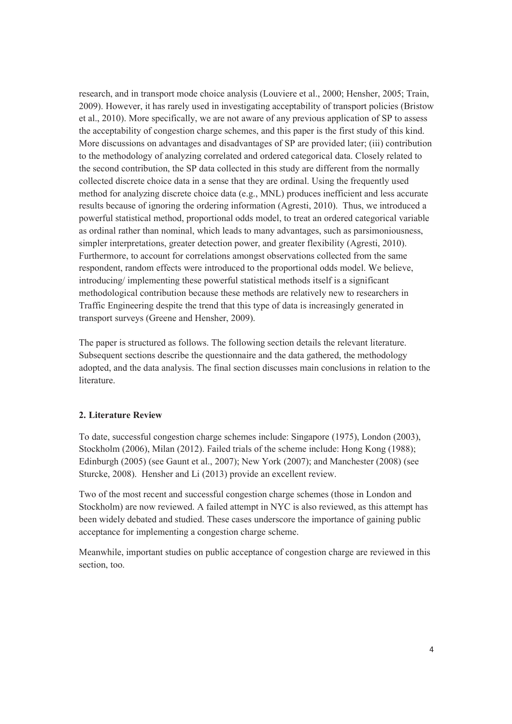research, and in transport mode choice analysis (Louviere et al., 2000; Hensher, 2005; Train, 2009). However, it has rarely used in investigating acceptability of transport policies (Bristow et al., 2010). More specifically, we are not aware of any previous application of SP to assess the acceptability of congestion charge schemes, and this paper is the first study of this kind. More discussions on advantages and disadvantages of SP are provided later; (iii) contribution to the methodology of analyzing correlated and ordered categorical data. Closely related to the second contribution, the SP data collected in this study are different from the normally collected discrete choice data in a sense that they are ordinal. Using the frequently used method for analyzing discrete choice data (e.g., MNL) produces inefficient and less accurate results because of ignoring the ordering information (Agresti, 2010). Thus, we introduced a powerful statistical method, proportional odds model, to treat an ordered categorical variable as ordinal rather than nominal, which leads to many advantages, such as parsimoniousness, simpler interpretations, greater detection power, and greater flexibility (Agresti, 2010). Furthermore, to account for correlations amongst observations collected from the same respondent, random effects were introduced to the proportional odds model. We believe, introducing/ implementing these powerful statistical methods itself is a significant methodological contribution because these methods are relatively new to researchers in Traffic Engineering despite the trend that this type of data is increasingly generated in transport surveys (Greene and Hensher, 2009).

The paper is structured as follows. The following section details the relevant literature. Subsequent sections describe the questionnaire and the data gathered, the methodology adopted, and the data analysis. The final section discusses main conclusions in relation to the literature.

# **2. Literature Review**

To date, successful congestion charge schemes include: Singapore (1975), London (2003), Stockholm (2006), Milan (2012). Failed trials of the scheme include: Hong Kong (1988); Edinburgh (2005) (see Gaunt et al., 2007); New York (2007); and Manchester (2008) (see Sturcke, 2008). Hensher and Li (2013) provide an excellent review.

Two of the most recent and successful congestion charge schemes (those in London and Stockholm) are now reviewed. A failed attempt in NYC is also reviewed, as this attempt has been widely debated and studied. These cases underscore the importance of gaining public acceptance for implementing a congestion charge scheme.

Meanwhile, important studies on public acceptance of congestion charge are reviewed in this section, too.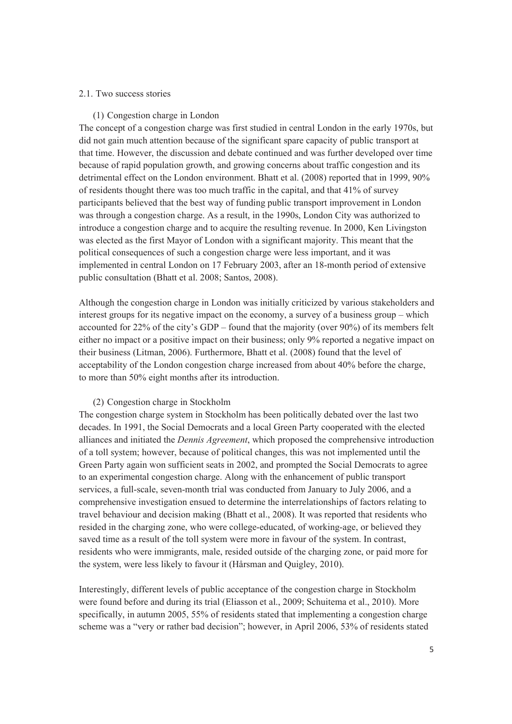### 2.1. Two success stories

#### (1) Congestion charge in London

The concept of a congestion charge was first studied in central London in the early 1970s, but did not gain much attention because of the significant spare capacity of public transport at that time. However, the discussion and debate continued and was further developed over time because of rapid population growth, and growing concerns about traffic congestion and its detrimental effect on the London environment. Bhatt et al. (2008) reported that in 1999, 90% of residents thought there was too much traffic in the capital, and that 41% of survey participants believed that the best way of funding public transport improvement in London was through a congestion charge. As a result, in the 1990s, London City was authorized to introduce a congestion charge and to acquire the resulting revenue. In 2000, Ken Livingston was elected as the first Mayor of London with a significant majority. This meant that the political consequences of such a congestion charge were less important, and it was implemented in central London on 17 February 2003, after an 18-month period of extensive public consultation (Bhatt et al. 2008; Santos, 2008).

Although the congestion charge in London was initially criticized by various stakeholders and interest groups for its negative impact on the economy, a survey of a business group – which accounted for 22% of the city's GDP – found that the majority (over 90%) of its members felt either no impact or a positive impact on their business; only 9% reported a negative impact on their business (Litman, 2006). Furthermore, Bhatt et al. (2008) found that the level of acceptability of the London congestion charge increased from about 40% before the charge, to more than 50% eight months after its introduction.

#### (2) Congestion charge in Stockholm

The congestion charge system in Stockholm has been politically debated over the last two decades. In 1991, the Social Democrats and a local Green Party cooperated with the elected alliances and initiated the *Dennis Agreement*, which proposed the comprehensive introduction of a toll system; however, because of political changes, this was not implemented until the Green Party again won sufficient seats in 2002, and prompted the Social Democrats to agree to an experimental congestion charge. Along with the enhancement of public transport services, a full-scale, seven-month trial was conducted from January to July 2006, and a comprehensive investigation ensued to determine the interrelationships of factors relating to travel behaviour and decision making (Bhatt et al., 2008). It was reported that residents who resided in the charging zone, who were college-educated, of working-age, or believed they saved time as a result of the toll system were more in favour of the system. In contrast, residents who were immigrants, male, resided outside of the charging zone, or paid more for the system, were less likely to favour it (Hårsman and Quigley, 2010).

Interestingly, different levels of public acceptance of the congestion charge in Stockholm were found before and during its trial (Eliasson et al., 2009; Schuitema et al., 2010). More specifically, in autumn 2005, 55% of residents stated that implementing a congestion charge scheme was a "very or rather bad decision"; however, in April 2006, 53% of residents stated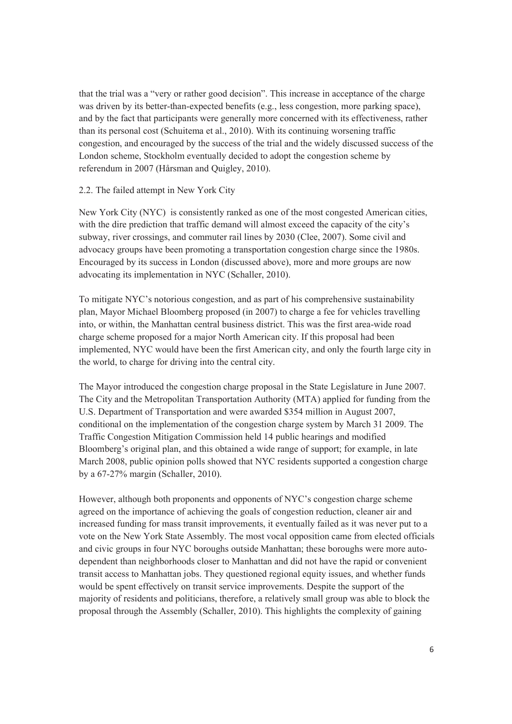that the trial was a "very or rather good decision". This increase in acceptance of the charge was driven by its better-than-expected benefits (e.g., less congestion, more parking space), and by the fact that participants were generally more concerned with its effectiveness, rather than its personal cost (Schuitema et al., 2010). With its continuing worsening traffic congestion, and encouraged by the success of the trial and the widely discussed success of the London scheme, Stockholm eventually decided to adopt the congestion scheme by referendum in 2007 (Hårsman and Quigley, 2010).

# 2.2. The failed attempt in New York City

New York City (NYC) is consistently ranked as one of the most congested American cities, with the dire prediction that traffic demand will almost exceed the capacity of the city's subway, river crossings, and commuter rail lines by 2030 (Clee, 2007). Some civil and advocacy groups have been promoting a transportation congestion charge since the 1980s. Encouraged by its success in London (discussed above), more and more groups are now advocating its implementation in NYC (Schaller, 2010).

To mitigate NYC's notorious congestion, and as part of his comprehensive sustainability plan, Mayor Michael Bloomberg proposed (in 2007) to charge a fee for vehicles travelling into, or within, the Manhattan central business district. This was the first area-wide road charge scheme proposed for a major North American city. If this proposal had been implemented, NYC would have been the first American city, and only the fourth large city in the world, to charge for driving into the central city.

The Mayor introduced the congestion charge proposal in the State Legislature in June 2007. The City and the Metropolitan Transportation Authority (MTA) applied for funding from the U.S. Department of Transportation and were awarded \$354 million in August 2007, conditional on the implementation of the congestion charge system by March 31 2009. The Traffic Congestion Mitigation Commission held 14 public hearings and modified Bloomberg's original plan, and this obtained a wide range of support; for example, in late March 2008, public opinion polls showed that NYC residents supported a congestion charge by a 67-27% margin (Schaller, 2010).

However, although both proponents and opponents of NYC's congestion charge scheme agreed on the importance of achieving the goals of congestion reduction, cleaner air and increased funding for mass transit improvements, it eventually failed as it was never put to a vote on the New York State Assembly. The most vocal opposition came from elected officials and civic groups in four NYC boroughs outside Manhattan; these boroughs were more autodependent than neighborhoods closer to Manhattan and did not have the rapid or convenient transit access to Manhattan jobs. They questioned regional equity issues, and whether funds would be spent effectively on transit service improvements. Despite the support of the majority of residents and politicians, therefore, a relatively small group was able to block the proposal through the Assembly (Schaller, 2010). This highlights the complexity of gaining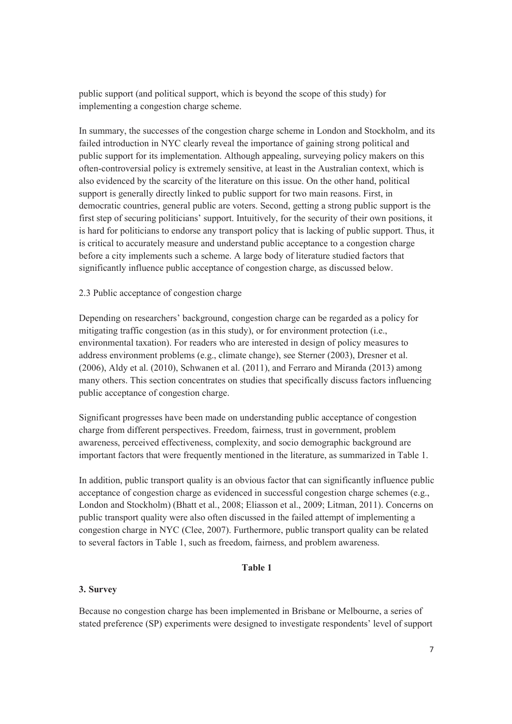public support (and political support, which is beyond the scope of this study) for implementing a congestion charge scheme.

In summary, the successes of the congestion charge scheme in London and Stockholm, and its failed introduction in NYC clearly reveal the importance of gaining strong political and public support for its implementation. Although appealing, surveying policy makers on this often-controversial policy is extremely sensitive, at least in the Australian context, which is also evidenced by the scarcity of the literature on this issue. On the other hand, political support is generally directly linked to public support for two main reasons. First, in democratic countries, general public are voters. Second, getting a strong public support is the first step of securing politicians' support. Intuitively, for the security of their own positions, it is hard for politicians to endorse any transport policy that is lacking of public support. Thus, it is critical to accurately measure and understand public acceptance to a congestion charge before a city implements such a scheme. A large body of literature studied factors that significantly influence public acceptance of congestion charge, as discussed below.

# 2.3 Public acceptance of congestion charge

Depending on researchers' background, congestion charge can be regarded as a policy for mitigating traffic congestion (as in this study), or for environment protection (i.e., environmental taxation). For readers who are interested in design of policy measures to address environment problems (e.g., climate change), see Sterner (2003), Dresner et al. (2006), Aldy et al. (2010), Schwanen et al. (2011), and Ferraro and Miranda (2013) among many others. This section concentrates on studies that specifically discuss factors influencing public acceptance of congestion charge.

Significant progresses have been made on understanding public acceptance of congestion charge from different perspectives. Freedom, fairness, trust in government, problem awareness, perceived effectiveness, complexity, and socio demographic background are important factors that were frequently mentioned in the literature, as summarized in Table 1.

In addition, public transport quality is an obvious factor that can significantly influence public acceptance of congestion charge as evidenced in successful congestion charge schemes (e.g., London and Stockholm) (Bhatt et al., 2008; Eliasson et al., 2009; Litman, 2011). Concerns on public transport quality were also often discussed in the failed attempt of implementing a congestion charge in NYC (Clee, 2007). Furthermore, public transport quality can be related to several factors in Table 1, such as freedom, fairness, and problem awareness.

### **Table 1**

### **3. Survey**

Because no congestion charge has been implemented in Brisbane or Melbourne, a series of stated preference (SP) experiments were designed to investigate respondents' level of support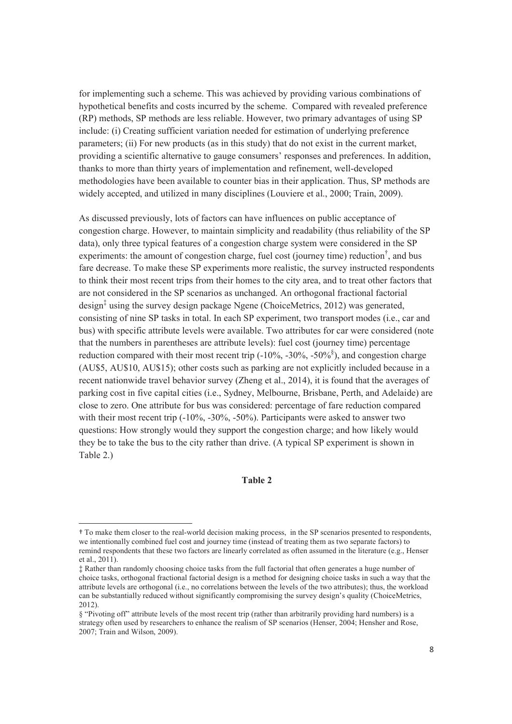for implementing such a scheme. This was achieved by providing various combinations of hypothetical benefits and costs incurred by the scheme. Compared with revealed preference (RP) methods, SP methods are less reliable. However, two primary advantages of using SP include: (i) Creating sufficient variation needed for estimation of underlying preference parameters; (ii) For new products (as in this study) that do not exist in the current market, providing a scientific alternative to gauge consumers' responses and preferences. In addition, thanks to more than thirty years of implementation and refinement, well-developed methodologies have been available to counter bias in their application. Thus, SP methods are widely accepted, and utilized in many disciplines (Louviere et al., 2000; Train, 2009).

As discussed previously, lots of factors can have influences on public acceptance of congestion charge. However, to maintain simplicity and readability (thus reliability of the SP data), only three typical features of a congestion charge system were considered in the SP experiments: the amount of congestion charge, fuel cost (journey time) reduction<sup>†</sup>, and bus fare decrease. To make these SP experiments more realistic, the survey instructed respondents to think their most recent trips from their homes to the city area, and to treat other factors that are not considered in the SP scenarios as unchanged. An orthogonal fractional factorial design<sup>‡</sup> using the survey design package Ngene (ChoiceMetrics, 2012) was generated, consisting of nine SP tasks in total. In each SP experiment, two transport modes (i.e., car and bus) with specific attribute levels were available. Two attributes for car were considered (note that the numbers in parentheses are attribute levels): fuel cost (journey time) percentage reduction compared with their most recent trip  $(-10\%, -30\%, -50\%)$ , and congestion charge (AU\$5, AU\$10, AU\$15); other costs such as parking are not explicitly included because in a recent nationwide travel behavior survey (Zheng et al., 2014), it is found that the averages of parking cost in five capital cities (i.e., Sydney, Melbourne, Brisbane, Perth, and Adelaide) are close to zero. One attribute for bus was considered: percentage of fare reduction compared with their most recent trip  $(-10\%, -30\%, -50\%)$ . Participants were asked to answer two questions: How strongly would they support the congestion charge; and how likely would they be to take the bus to the city rather than drive. (A typical SP experiment is shown in Table 2.)

#### **Table 2**

------------------------------------------------------------

-To make them closer to the real-world decision making process, in the SP scenarios presented to respondents, we intentionally combined fuel cost and journey time (instead of treating them as two separate factors) to remind respondents that these two factors are linearly correlated as often assumed in the literature (e.g., Henser et al.,  $2011$ ).

<sup>‡</sup> Rather than randomly choosing choice tasks from the full factorial that often generates a huge number of choice tasks, orthogonal fractional factorial design is a method for designing choice tasks in such a way that the attribute levels are orthogonal (i.e., no correlations between the levels of the two attributes); thus, the workload can be substantially reduced without significantly compromising the survey design's quality (ChoiceMetrics, 2012).

<sup>§ &</sup>quot;Pivoting off" attribute levels of the most recent trip (rather than arbitrarily providing hard numbers) is a strategy often used by researchers to enhance the realism of SP scenarios (Henser, 2004; Hensher and Rose, 2007; Train and Wilson, 2009).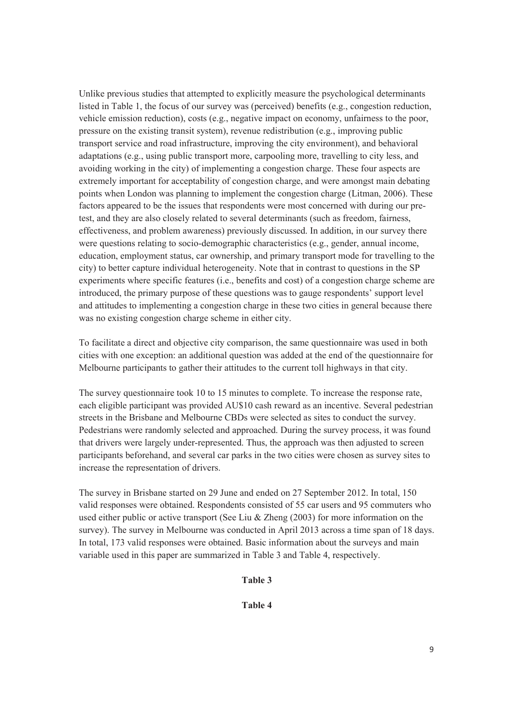Unlike previous studies that attempted to explicitly measure the psychological determinants listed in Table 1, the focus of our survey was (perceived) benefits (e.g., congestion reduction, vehicle emission reduction), costs (e.g., negative impact on economy, unfairness to the poor, pressure on the existing transit system), revenue redistribution (e.g., improving public transport service and road infrastructure, improving the city environment), and behavioral adaptations (e.g., using public transport more, carpooling more, travelling to city less, and avoiding working in the city) of implementing a congestion charge. These four aspects are extremely important for acceptability of congestion charge, and were amongst main debating points when London was planning to implement the congestion charge (Litman, 2006). These factors appeared to be the issues that respondents were most concerned with during our pretest, and they are also closely related to several determinants (such as freedom, fairness, effectiveness, and problem awareness) previously discussed. In addition, in our survey there were questions relating to socio-demographic characteristics (e.g., gender, annual income, education, employment status, car ownership, and primary transport mode for travelling to the city) to better capture individual heterogeneity. Note that in contrast to questions in the SP experiments where specific features (i.e., benefits and cost) of a congestion charge scheme are introduced, the primary purpose of these questions was to gauge respondents' support level and attitudes to implementing a congestion charge in these two cities in general because there was no existing congestion charge scheme in either city.

To facilitate a direct and objective city comparison, the same questionnaire was used in both cities with one exception: an additional question was added at the end of the questionnaire for Melbourne participants to gather their attitudes to the current toll highways in that city.

The survey questionnaire took 10 to 15 minutes to complete. To increase the response rate, each eligible participant was provided AU\$10 cash reward as an incentive. Several pedestrian streets in the Brisbane and Melbourne CBDs were selected as sites to conduct the survey. Pedestrians were randomly selected and approached. During the survey process, it was found that drivers were largely under-represented. Thus, the approach was then adjusted to screen participants beforehand, and several car parks in the two cities were chosen as survey sites to increase the representation of drivers.

The survey in Brisbane started on 29 June and ended on 27 September 2012. In total, 150 valid responses were obtained. Respondents consisted of 55 car users and 95 commuters who used either public or active transport (See Liu & Zheng (2003) for more information on the survey). The survey in Melbourne was conducted in April 2013 across a time span of 18 days. In total, 173 valid responses were obtained. Basic information about the surveys and main variable used in this paper are summarized in Table 3 and Table 4, respectively.

# **Table 3**

### **Table 4**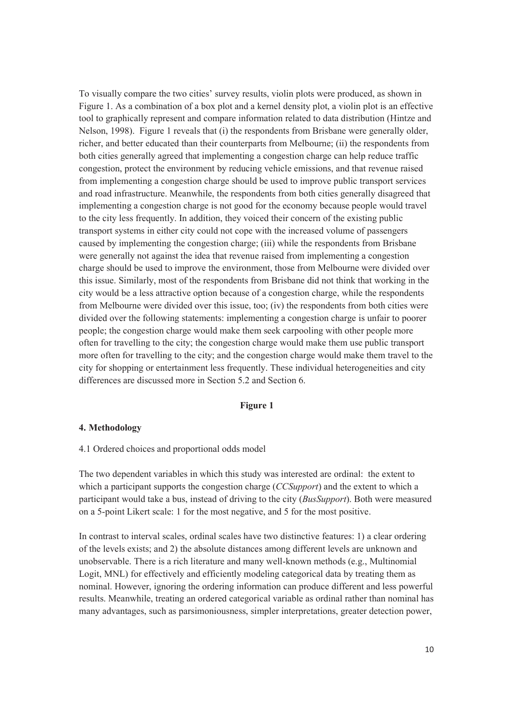To visually compare the two cities' survey results, violin plots were produced, as shown in Figure 1. As a combination of a box plot and a kernel density plot, a violin plot is an effective tool to graphically represent and compare information related to data distribution (Hintze and Nelson, 1998). Figure 1 reveals that (i) the respondents from Brisbane were generally older, richer, and better educated than their counterparts from Melbourne; (ii) the respondents from both cities generally agreed that implementing a congestion charge can help reduce traffic congestion, protect the environment by reducing vehicle emissions, and that revenue raised from implementing a congestion charge should be used to improve public transport services and road infrastructure. Meanwhile, the respondents from both cities generally disagreed that implementing a congestion charge is not good for the economy because people would travel to the city less frequently. In addition, they voiced their concern of the existing public transport systems in either city could not cope with the increased volume of passengers caused by implementing the congestion charge; (iii) while the respondents from Brisbane were generally not against the idea that revenue raised from implementing a congestion charge should be used to improve the environment, those from Melbourne were divided over this issue. Similarly, most of the respondents from Brisbane did not think that working in the city would be a less attractive option because of a congestion charge, while the respondents from Melbourne were divided over this issue, too; (iv) the respondents from both cities were divided over the following statements: implementing a congestion charge is unfair to poorer people; the congestion charge would make them seek carpooling with other people more often for travelling to the city; the congestion charge would make them use public transport more often for travelling to the city; and the congestion charge would make them travel to the city for shopping or entertainment less frequently. These individual heterogeneities and city differences are discussed more in Section 5.2 and Section 6.

## **Figure 1**

# **4. Methodology**

### 4.1 Ordered choices and proportional odds model

The two dependent variables in which this study was interested are ordinal: the extent to which a participant supports the congestion charge (*CCSupport*) and the extent to which a participant would take a bus, instead of driving to the city (*BusSupport*). Both were measured on a 5-point Likert scale: 1 for the most negative, and 5 for the most positive.

In contrast to interval scales, ordinal scales have two distinctive features: 1) a clear ordering of the levels exists; and 2) the absolute distances among different levels are unknown and unobservable. There is a rich literature and many well-known methods (e.g., Multinomial Logit, MNL) for effectively and efficiently modeling categorical data by treating them as nominal. However, ignoring the ordering information can produce different and less powerful results. Meanwhile, treating an ordered categorical variable as ordinal rather than nominal has many advantages, such as parsimoniousness, simpler interpretations, greater detection power,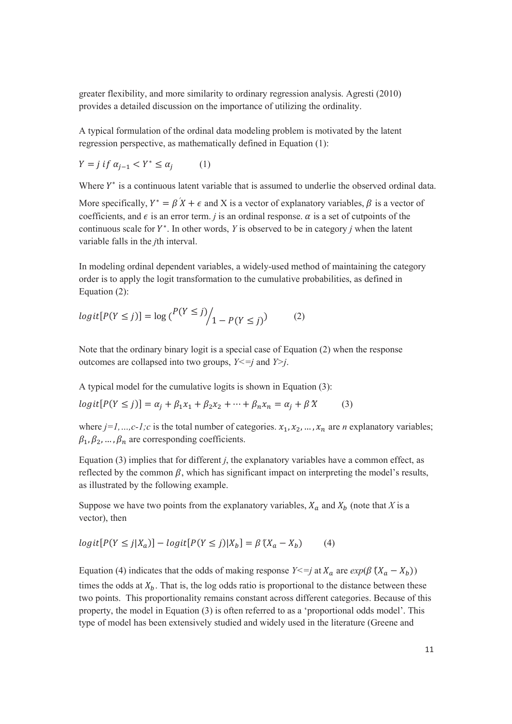greater flexibility, and more similarity to ordinary regression analysis. Agresti (2010) provides a detailed discussion on the importance of utilizing the ordinality.

A typical formulation of the ordinal data modeling problem is motivated by the latent regression perspective, as mathematically defined in Equation (1):

 $Y = j$  if  $\alpha_{j-1} < Y^* \leq \alpha_j$ (1)

Where  $Y^*$  is a continuous latent variable that is assumed to underlie the observed ordinal data.

More specifically,  $Y^* = \beta \hat{X} + \epsilon$  and X is a vector of explanatory variables,  $\beta$  is a vector of coefficients, and  $\epsilon$  is an error term. *j* is an ordinal response.  $\alpha$  is a set of cutpoints of the continuous scale for  $Y^*$ . In other words,  $Y$  is observed to be in category  $j$  when the latent variable falls in the *j*th interval.

In modeling ordinal dependent variables, a widely-used method of maintaining the category order is to apply the logit transformation to the cumulative probabilities, as defined in Equation (2):

$$
logit[P(Y \le j)] = log({P(Y \le j) \choose 1 - P(Y \le j)})
$$
 (2)

Note that the ordinary binary logit is a special case of Equation (2) when the response outcomes are collapsed into two groups,  $Y \leq j$  and  $Y \geq j$ .

A typical model for the cumulative logits is shown in Equation (3):

$$
logit[P(Y \le j)] = \alpha_j + \beta_1 x_1 + \beta_2 x_2 + \dots + \beta_n x_n = \alpha_j + \beta X \tag{3}
$$

where  $j=1,...,c-1$ ; c is the total number of categories.  $x_1, x_2, ..., x_n$  are *n* explanatory variables;  $\beta_1, \beta_2, ..., \beta_n$  are corresponding coefficients.

Equation (3) implies that for different *j*, the explanatory variables have a common effect, as reflected by the common  $\beta$ , which has significant impact on interpreting the model's results, as illustrated by the following example.

Suppose we have two points from the explanatory variables,  $X_a$  and  $X_b$  (note that *X* is a vector), then

$$
logit[P(Y \le j|X_a)] - logit[P(Y \le j)|X_b] = \beta (X_a - X_b)
$$
 (4)

Equation (4) indicates that the odds of making response  $Y \leq j$  at  $X_a$  are  $exp(\beta (X_a - X_b))$ times the odds at  $X_b$ . That is, the log odds ratio is proportional to the distance between these two points. This proportionality remains constant across different categories. Because of this property, the model in Equation (3) is often referred to as a 'proportional odds model'. This type of model has been extensively studied and widely used in the literature (Greene and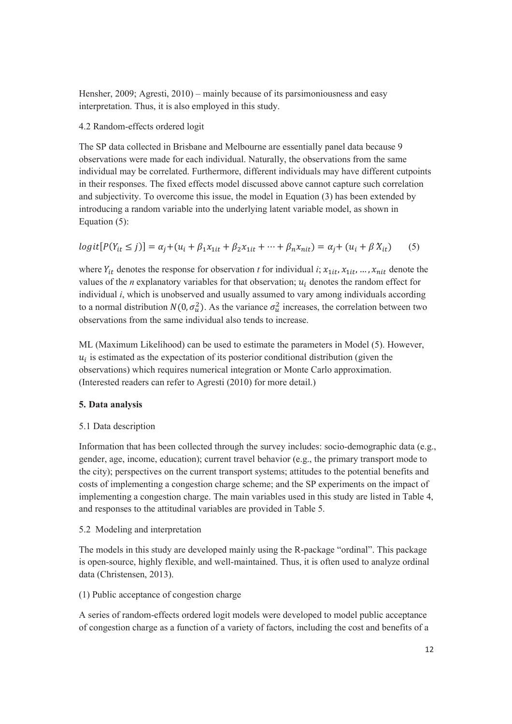Hensher, 2009; Agresti, 2010) – mainly because of its parsimoniousness and easy interpretation. Thus, it is also employed in this study.

# 4.2 Random-effects ordered logit

The SP data collected in Brisbane and Melbourne are essentially panel data because 9 observations were made for each individual. Naturally, the observations from the same individual may be correlated. Furthermore, different individuals may have different cutpoints in their responses. The fixed effects model discussed above cannot capture such correlation and subjectivity. To overcome this issue, the model in Equation (3) has been extended by introducing a random variable into the underlying latent variable model, as shown in Equation (5):

$$
logit[P(Y_{it} \le j)] = \alpha_j + (u_i + \beta_1 x_{1it} + \beta_2 x_{1it} + \dots + \beta_n x_{nit}) = \alpha_j + (u_i + \beta X_{it})
$$
 (5)

where  $Y_{it}$  denotes the response for observation *t* for individual *i*;  $x_{1it}$ ,  $x_{1it}$ , ...,  $x_{nit}$  denote the values of the *n* explanatory variables for that observation;  $u_i$  denotes the random effect for individual *i*, which is unobserved and usually assumed to vary among individuals according to a normal distribution  $N(0, \sigma_u^2)$ . As the variance  $\sigma_u^2$  increases, the correlation between two observations from the same individual also tends to increase.

ML (Maximum Likelihood) can be used to estimate the parameters in Model (5). However,  $u_i$  is estimated as the expectation of its posterior conditional distribution (given the observations) which requires numerical integration or Monte Carlo approximation. (Interested readers can refer to Agresti (2010) for more detail.)

# **5. Data analysis**

5.1 Data description

Information that has been collected through the survey includes: socio-demographic data (e.g., gender, age, income, education); current travel behavior (e.g., the primary transport mode to the city); perspectives on the current transport systems; attitudes to the potential benefits and costs of implementing a congestion charge scheme; and the SP experiments on the impact of implementing a congestion charge. The main variables used in this study are listed in Table 4, and responses to the attitudinal variables are provided in Table 5.

# 5.2 Modeling and interpretation

The models in this study are developed mainly using the R-package "ordinal". This package is open-source, highly flexible, and well-maintained. Thus, it is often used to analyze ordinal data (Christensen, 2013).

# (1) Public acceptance of congestion charge

A series of random-effects ordered logit models were developed to model public acceptance of congestion charge as a function of a variety of factors, including the cost and benefits of a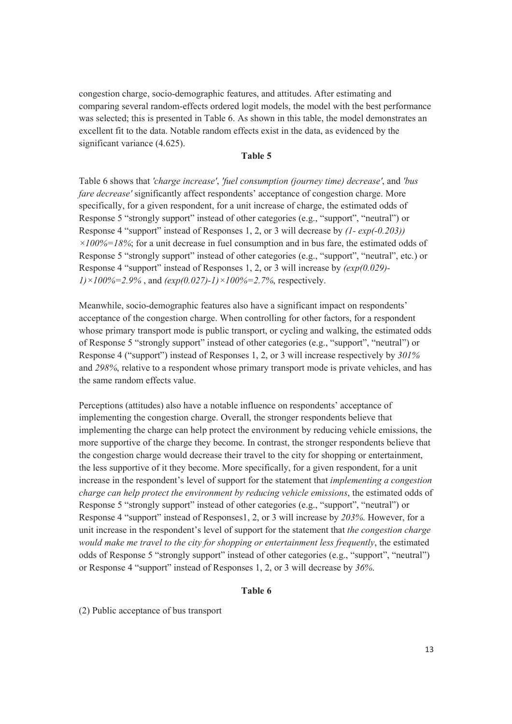congestion charge, socio-demographic features, and attitudes. After estimating and comparing several random-effects ordered logit models, the model with the best performance was selected; this is presented in Table 6. As shown in this table, the model demonstrates an excellent fit to the data. Notable random effects exist in the data, as evidenced by the significant variance (4.625).

# **Table 5**

Table 6 shows that *'charge increase'*, *'fuel consumption (journey time) decrease'*, and *'bus fare decrease'* significantly affect respondents' acceptance of congestion charge. More specifically, for a given respondent, for a unit increase of charge, the estimated odds of Response 5 "strongly support" instead of other categories (e.g., "support", "neutral") or Response 4 "support" instead of Responses 1, 2, or 3 will decrease by *(1- exp(-0.203)) ×100%=18%*; for a unit decrease in fuel consumption and in bus fare, the estimated odds of Response 5 "strongly support" instead of other categories (e.g., "support", "neutral", etc.) or Response 4 "support" instead of Responses 1, 2, or 3 will increase by *(exp(0.029)- 1)×100%=2.9%* , and *(exp(0.027)-1)×100%=2.7%*, respectively.

Meanwhile, socio-demographic features also have a significant impact on respondents' acceptance of the congestion charge. When controlling for other factors, for a respondent whose primary transport mode is public transport, or cycling and walking, the estimated odds of Response 5 "strongly support" instead of other categories (e.g., "support", "neutral") or Response 4 ("support") instead of Responses 1, 2, or 3 will increase respectively by *301%* and *298%*, relative to a respondent whose primary transport mode is private vehicles, and has the same random effects value.

Perceptions (attitudes) also have a notable influence on respondents' acceptance of implementing the congestion charge. Overall, the stronger respondents believe that implementing the charge can help protect the environment by reducing vehicle emissions, the more supportive of the charge they become. In contrast, the stronger respondents believe that the congestion charge would decrease their travel to the city for shopping or entertainment, the less supportive of it they become. More specifically, for a given respondent, for a unit increase in the respondent's level of support for the statement that *implementing a congestion charge can help protect the environment by reducing vehicle emissions*, the estimated odds of Response 5 "strongly support" instead of other categories (e.g., "support", "neutral") or Response 4 "support" instead of Responses1, 2, or 3 will increase by *203%*. However, for a unit increase in the respondent's level of support for the statement that *the congestion charge would make me travel to the city for shopping or entertainment less frequently*, the estimated odds of Response 5 "strongly support" instead of other categories (e.g., "support", "neutral") or Response 4 "support" instead of Responses 1, 2, or 3 will decrease by *36%*.

## **Table 6**

(2) Public acceptance of bus transport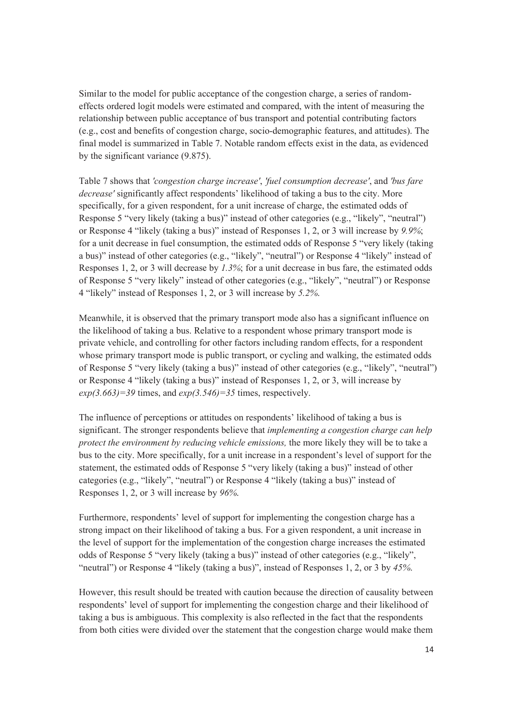Similar to the model for public acceptance of the congestion charge, a series of randomeffects ordered logit models were estimated and compared, with the intent of measuring the relationship between public acceptance of bus transport and potential contributing factors (e.g., cost and benefits of congestion charge, socio-demographic features, and attitudes). The final model is summarized in Table 7. Notable random effects exist in the data, as evidenced by the significant variance (9.875).

Table 7 shows that *'congestion charge increase'*, *'fuel consumption decrease'*, and *'bus fare decrease'* significantly affect respondents' likelihood of taking a bus to the city. More specifically, for a given respondent, for a unit increase of charge, the estimated odds of Response 5 "very likely (taking a bus)" instead of other categories (e.g., "likely", "neutral") or Response 4 "likely (taking a bus)" instead of Responses 1, 2, or 3 will increase by *9.9%*; for a unit decrease in fuel consumption, the estimated odds of Response 5 "very likely (taking a bus)" instead of other categories (e.g., "likely", "neutral") or Response 4 "likely" instead of Responses 1, 2, or 3 will decrease by *1.3%*; for a unit decrease in bus fare, the estimated odds of Response 5 "very likely" instead of other categories (e.g., "likely", "neutral") or Response 4 "likely" instead of Responses 1, 2, or 3 will increase by *5.2%*.

Meanwhile, it is observed that the primary transport mode also has a significant influence on the likelihood of taking a bus. Relative to a respondent whose primary transport mode is private vehicle, and controlling for other factors including random effects, for a respondent whose primary transport mode is public transport, or cycling and walking, the estimated odds of Response 5 "very likely (taking a bus)" instead of other categories (e.g., "likely", "neutral") or Response 4 "likely (taking a bus)" instead of Responses 1, 2, or 3, will increase by  $exp(3.663)=39$  times, and  $exp(3.546)=35$  times, respectively.

The influence of perceptions or attitudes on respondents' likelihood of taking a bus is significant. The stronger respondents believe that *implementing a congestion charge can help protect the environment by reducing vehicle emissions,* the more likely they will be to take a bus to the city. More specifically, for a unit increase in a respondent's level of support for the statement, the estimated odds of Response 5 "very likely (taking a bus)" instead of other categories (e.g., "likely", "neutral") or Response 4 "likely (taking a bus)" instead of Responses 1, 2, or 3 will increase by *96%*.

Furthermore, respondents' level of support for implementing the congestion charge has a strong impact on their likelihood of taking a bus. For a given respondent, a unit increase in the level of support for the implementation of the congestion charge increases the estimated odds of Response 5 "very likely (taking a bus)" instead of other categories (e.g., "likely", "neutral") or Response 4 "likely (taking a bus)", instead of Responses 1, 2, or 3 by *45%*.

However, this result should be treated with caution because the direction of causality between respondents' level of support for implementing the congestion charge and their likelihood of taking a bus is ambiguous. This complexity is also reflected in the fact that the respondents from both cities were divided over the statement that the congestion charge would make them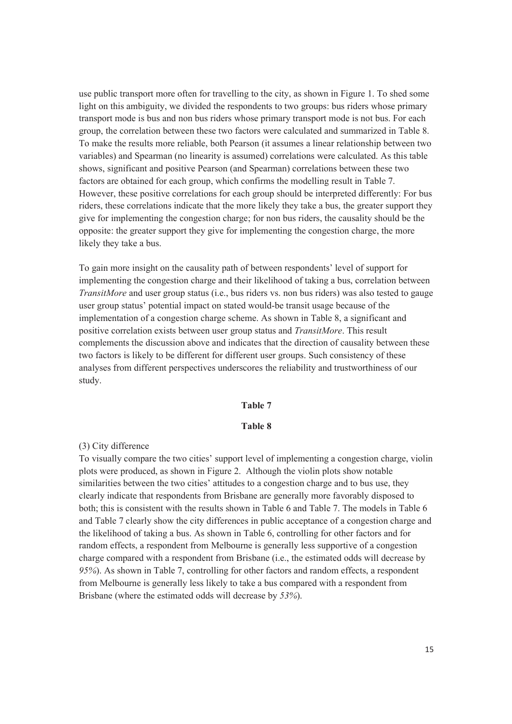use public transport more often for travelling to the city, as shown in Figure 1. To shed some light on this ambiguity, we divided the respondents to two groups: bus riders whose primary transport mode is bus and non bus riders whose primary transport mode is not bus. For each group, the correlation between these two factors were calculated and summarized in Table 8. To make the results more reliable, both Pearson (it assumes a linear relationship between two variables) and Spearman (no linearity is assumed) correlations were calculated. As this table shows, significant and positive Pearson (and Spearman) correlations between these two factors are obtained for each group, which confirms the modelling result in Table 7. However, these positive correlations for each group should be interpreted differently: For bus riders, these correlations indicate that the more likely they take a bus, the greater support they give for implementing the congestion charge; for non bus riders, the causality should be the opposite: the greater support they give for implementing the congestion charge, the more likely they take a bus.

To gain more insight on the causality path of between respondents' level of support for implementing the congestion charge and their likelihood of taking a bus, correlation between *TransitMore* and user group status (i.e., bus riders vs. non bus riders) was also tested to gauge user group status' potential impact on stated would-be transit usage because of the implementation of a congestion charge scheme. As shown in Table 8, a significant and positive correlation exists between user group status and *TransitMore*. This result complements the discussion above and indicates that the direction of causality between these two factors is likely to be different for different user groups. Such consistency of these analyses from different perspectives underscores the reliability and trustworthiness of our study.

### **Table 7**

### **Table 8**

# (3) City difference

To visually compare the two cities' support level of implementing a congestion charge, violin plots were produced, as shown in Figure 2. Although the violin plots show notable similarities between the two cities' attitudes to a congestion charge and to bus use, they clearly indicate that respondents from Brisbane are generally more favorably disposed to both; this is consistent with the results shown in Table 6 and Table 7. The models in Table 6 and Table 7 clearly show the city differences in public acceptance of a congestion charge and the likelihood of taking a bus. As shown in Table 6, controlling for other factors and for random effects, a respondent from Melbourne is generally less supportive of a congestion charge compared with a respondent from Brisbane (i.e., the estimated odds will decrease by *95%*). As shown in Table 7, controlling for other factors and random effects, a respondent from Melbourne is generally less likely to take a bus compared with a respondent from Brisbane (where the estimated odds will decrease by *53%*).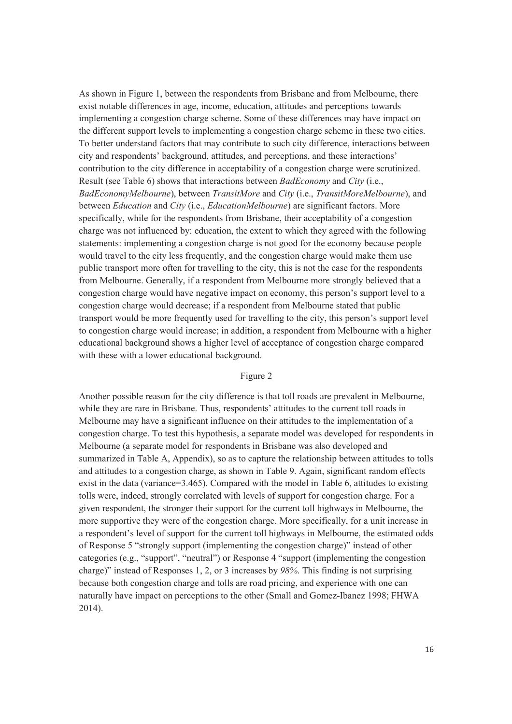As shown in Figure 1, between the respondents from Brisbane and from Melbourne, there exist notable differences in age, income, education, attitudes and perceptions towards implementing a congestion charge scheme. Some of these differences may have impact on the different support levels to implementing a congestion charge scheme in these two cities. To better understand factors that may contribute to such city difference, interactions between city and respondents' background, attitudes, and perceptions, and these interactions' contribution to the city difference in acceptability of a congestion charge were scrutinized. Result (see Table 6) shows that interactions between *BadEconomy* and *City* (i.e., *BadEconomyMelbourne*), between *TransitMore* and *City* (i.e., *TransitMoreMelbourne*), and between *Education* and *City* (i.e., *EducationMelbourne*) are significant factors. More specifically, while for the respondents from Brisbane, their acceptability of a congestion charge was not influenced by: education, the extent to which they agreed with the following statements: implementing a congestion charge is not good for the economy because people would travel to the city less frequently, and the congestion charge would make them use public transport more often for travelling to the city, this is not the case for the respondents from Melbourne. Generally, if a respondent from Melbourne more strongly believed that a congestion charge would have negative impact on economy, this person's support level to a congestion charge would decrease; if a respondent from Melbourne stated that public transport would be more frequently used for travelling to the city, this person's support level to congestion charge would increase; in addition, a respondent from Melbourne with a higher educational background shows a higher level of acceptance of congestion charge compared with these with a lower educational background.

## Figure 2

Another possible reason for the city difference is that toll roads are prevalent in Melbourne, while they are rare in Brisbane. Thus, respondents' attitudes to the current toll roads in Melbourne may have a significant influence on their attitudes to the implementation of a congestion charge. To test this hypothesis, a separate model was developed for respondents in Melbourne (a separate model for respondents in Brisbane was also developed and summarized in Table A, Appendix), so as to capture the relationship between attitudes to tolls and attitudes to a congestion charge, as shown in Table 9. Again, significant random effects exist in the data (variance=3.465). Compared with the model in Table 6, attitudes to existing tolls were, indeed, strongly correlated with levels of support for congestion charge. For a given respondent, the stronger their support for the current toll highways in Melbourne, the more supportive they were of the congestion charge. More specifically, for a unit increase in a respondent's level of support for the current toll highways in Melbourne, the estimated odds of Response 5 "strongly support (implementing the congestion charge)" instead of other categories (e.g., "support", "neutral") or Response 4 "support (implementing the congestion charge)" instead of Responses 1, 2, or 3 increases by *98%*. This finding is not surprising because both congestion charge and tolls are road pricing, and experience with one can naturally have impact on perceptions to the other (Small and Gomez-Ibanez 1998; FHWA 2014).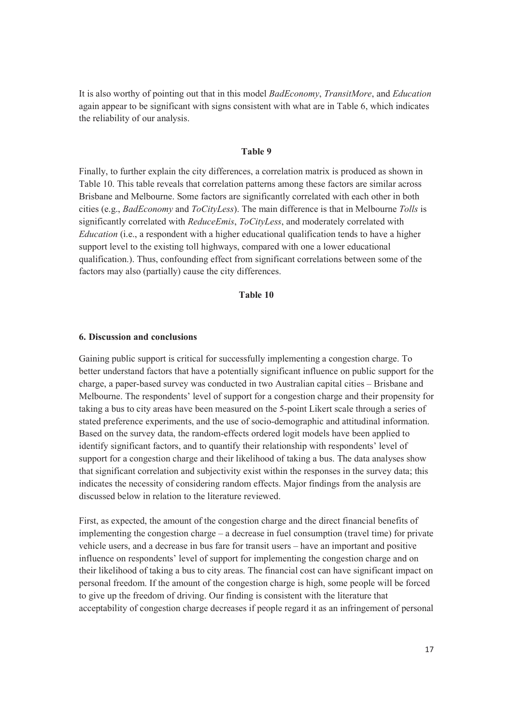It is also worthy of pointing out that in this model *BadEconomy*, *TransitMore*, and *Education* again appear to be significant with signs consistent with what are in Table 6, which indicates the reliability of our analysis.

### **Table 9**

Finally, to further explain the city differences, a correlation matrix is produced as shown in Table 10. This table reveals that correlation patterns among these factors are similar across Brisbane and Melbourne. Some factors are significantly correlated with each other in both cities (e.g., *BadEconomy* and *ToCityLess*). The main difference is that in Melbourne *Tolls* is significantly correlated with *ReduceEmis*, *ToCityLess*, and moderately correlated with *Education* (i.e., a respondent with a higher educational qualification tends to have a higher support level to the existing toll highways, compared with one a lower educational qualification.). Thus, confounding effect from significant correlations between some of the factors may also (partially) cause the city differences.

### **Table 10**

### **6. Discussion and conclusions**

Gaining public support is critical for successfully implementing a congestion charge. To better understand factors that have a potentially significant influence on public support for the charge, a paper-based survey was conducted in two Australian capital cities – Brisbane and Melbourne. The respondents' level of support for a congestion charge and their propensity for taking a bus to city areas have been measured on the 5-point Likert scale through a series of stated preference experiments, and the use of socio-demographic and attitudinal information. Based on the survey data, the random-effects ordered logit models have been applied to identify significant factors, and to quantify their relationship with respondents' level of support for a congestion charge and their likelihood of taking a bus. The data analyses show that significant correlation and subjectivity exist within the responses in the survey data; this indicates the necessity of considering random effects. Major findings from the analysis are discussed below in relation to the literature reviewed.

First, as expected, the amount of the congestion charge and the direct financial benefits of implementing the congestion charge – a decrease in fuel consumption (travel time) for private vehicle users, and a decrease in bus fare for transit users – have an important and positive influence on respondents' level of support for implementing the congestion charge and on their likelihood of taking a bus to city areas. The financial cost can have significant impact on personal freedom. If the amount of the congestion charge is high, some people will be forced to give up the freedom of driving. Our finding is consistent with the literature that acceptability of congestion charge decreases if people regard it as an infringement of personal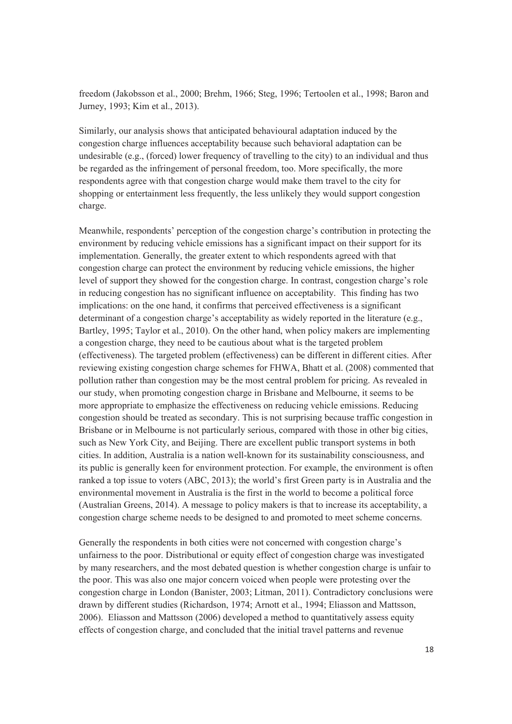freedom (Jakobsson et al., 2000; Brehm, 1966; Steg, 1996; Tertoolen et al., 1998; Baron and Jurney, 1993; Kim et al., 2013).

Similarly, our analysis shows that anticipated behavioural adaptation induced by the congestion charge influences acceptability because such behavioral adaptation can be undesirable (e.g., (forced) lower frequency of travelling to the city) to an individual and thus be regarded as the infringement of personal freedom, too. More specifically, the more respondents agree with that congestion charge would make them travel to the city for shopping or entertainment less frequently, the less unlikely they would support congestion charge.

Meanwhile, respondents' perception of the congestion charge's contribution in protecting the environment by reducing vehicle emissions has a significant impact on their support for its implementation. Generally, the greater extent to which respondents agreed with that congestion charge can protect the environment by reducing vehicle emissions, the higher level of support they showed for the congestion charge. In contrast, congestion charge's role in reducing congestion has no significant influence on acceptability. This finding has two implications: on the one hand, it confirms that perceived effectiveness is a significant determinant of a congestion charge's acceptability as widely reported in the literature (e.g., Bartley, 1995; Taylor et al., 2010). On the other hand, when policy makers are implementing a congestion charge, they need to be cautious about what is the targeted problem (effectiveness). The targeted problem (effectiveness) can be different in different cities. After reviewing existing congestion charge schemes for FHWA, Bhatt et al. (2008) commented that pollution rather than congestion may be the most central problem for pricing. As revealed in our study, when promoting congestion charge in Brisbane and Melbourne, it seems to be more appropriate to emphasize the effectiveness on reducing vehicle emissions. Reducing congestion should be treated as secondary. This is not surprising because traffic congestion in Brisbane or in Melbourne is not particularly serious, compared with those in other big cities, such as New York City, and Beijing. There are excellent public transport systems in both cities. In addition, Australia is a nation well-known for its sustainability consciousness, and its public is generally keen for environment protection. For example, the environment is often ranked a top issue to voters (ABC, 2013); the world's first Green party is in Australia and the environmental movement in Australia is the first in the world to become a political force (Australian Greens, 2014). A message to policy makers is that to increase its acceptability, a congestion charge scheme needs to be designed to and promoted to meet scheme concerns.

Generally the respondents in both cities were not concerned with congestion charge's unfairness to the poor. Distributional or equity effect of congestion charge was investigated by many researchers, and the most debated question is whether congestion charge is unfair to the poor. This was also one major concern voiced when people were protesting over the congestion charge in London (Banister, 2003; Litman, 2011). Contradictory conclusions were drawn by different studies (Richardson, 1974; Arnott et al., 1994; Eliasson and Mattsson, 2006). Eliasson and Mattsson (2006) developed a method to quantitatively assess equity effects of congestion charge, and concluded that the initial travel patterns and revenue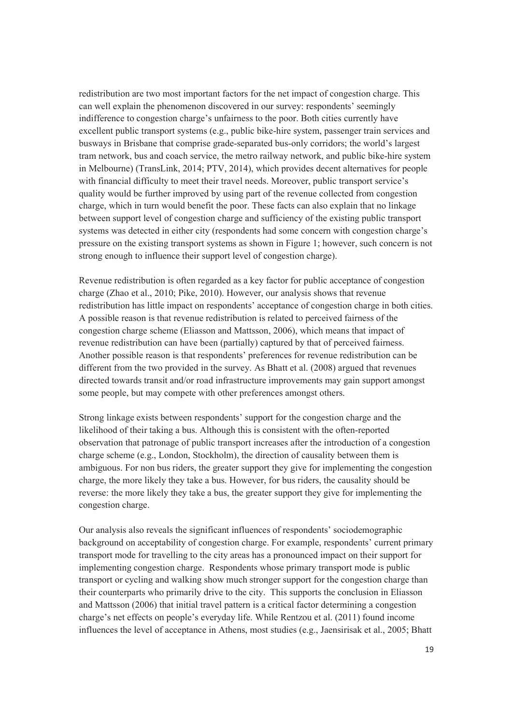redistribution are two most important factors for the net impact of congestion charge. This can well explain the phenomenon discovered in our survey: respondents' seemingly indifference to congestion charge's unfairness to the poor. Both cities currently have excellent public transport systems (e.g., public bike-hire system, passenger train services and busways in Brisbane that comprise grade-separated bus-only corridors; the world's largest tram network, bus and coach service, the metro railway network, and public bike-hire system in Melbourne) (TransLink, 2014; PTV, 2014), which provides decent alternatives for people with financial difficulty to meet their travel needs. Moreover, public transport service's quality would be further improved by using part of the revenue collected from congestion charge, which in turn would benefit the poor. These facts can also explain that no linkage between support level of congestion charge and sufficiency of the existing public transport systems was detected in either city (respondents had some concern with congestion charge's pressure on the existing transport systems as shown in Figure 1; however, such concern is not strong enough to influence their support level of congestion charge).

Revenue redistribution is often regarded as a key factor for public acceptance of congestion charge (Zhao et al., 2010; Pike, 2010). However, our analysis shows that revenue redistribution has little impact on respondents' acceptance of congestion charge in both cities. A possible reason is that revenue redistribution is related to perceived fairness of the congestion charge scheme (Eliasson and Mattsson, 2006), which means that impact of revenue redistribution can have been (partially) captured by that of perceived fairness. Another possible reason is that respondents' preferences for revenue redistribution can be different from the two provided in the survey. As Bhatt et al. (2008) argued that revenues directed towards transit and/or road infrastructure improvements may gain support amongst some people, but may compete with other preferences amongst others.

Strong linkage exists between respondents' support for the congestion charge and the likelihood of their taking a bus. Although this is consistent with the often-reported observation that patronage of public transport increases after the introduction of a congestion charge scheme (e.g., London, Stockholm), the direction of causality between them is ambiguous. For non bus riders, the greater support they give for implementing the congestion charge, the more likely they take a bus. However, for bus riders, the causality should be reverse: the more likely they take a bus, the greater support they give for implementing the congestion charge.

Our analysis also reveals the significant influences of respondents' sociodemographic background on acceptability of congestion charge. For example, respondents' current primary transport mode for travelling to the city areas has a pronounced impact on their support for implementing congestion charge. Respondents whose primary transport mode is public transport or cycling and walking show much stronger support for the congestion charge than their counterparts who primarily drive to the city. This supports the conclusion in Eliasson and Mattsson (2006) that initial travel pattern is a critical factor determining a congestion charge's net effects on people's everyday life. While Rentzou et al. (2011) found income influences the level of acceptance in Athens, most studies (e.g., Jaensirisak et al., 2005; Bhatt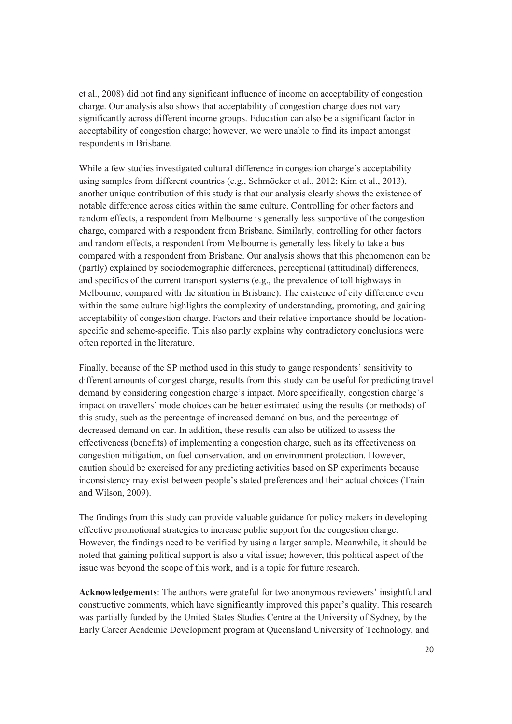et al., 2008) did not find any significant influence of income on acceptability of congestion charge. Our analysis also shows that acceptability of congestion charge does not vary significantly across different income groups. Education can also be a significant factor in acceptability of congestion charge; however, we were unable to find its impact amongst respondents in Brisbane.

While a few studies investigated cultural difference in congestion charge's acceptability using samples from different countries (e.g., Schmöcker et al., 2012; Kim et al., 2013), another unique contribution of this study is that our analysis clearly shows the existence of notable difference across cities within the same culture. Controlling for other factors and random effects, a respondent from Melbourne is generally less supportive of the congestion charge, compared with a respondent from Brisbane. Similarly, controlling for other factors and random effects, a respondent from Melbourne is generally less likely to take a bus compared with a respondent from Brisbane. Our analysis shows that this phenomenon can be (partly) explained by sociodemographic differences, perceptional (attitudinal) differences, and specifics of the current transport systems (e.g., the prevalence of toll highways in Melbourne, compared with the situation in Brisbane). The existence of city difference even within the same culture highlights the complexity of understanding, promoting, and gaining acceptability of congestion charge. Factors and their relative importance should be locationspecific and scheme-specific. This also partly explains why contradictory conclusions were often reported in the literature.

Finally, because of the SP method used in this study to gauge respondents' sensitivity to different amounts of congest charge, results from this study can be useful for predicting travel demand by considering congestion charge's impact. More specifically, congestion charge's impact on travellers' mode choices can be better estimated using the results (or methods) of this study, such as the percentage of increased demand on bus, and the percentage of decreased demand on car. In addition, these results can also be utilized to assess the effectiveness (benefits) of implementing a congestion charge, such as its effectiveness on congestion mitigation, on fuel conservation, and on environment protection. However, caution should be exercised for any predicting activities based on SP experiments because inconsistency may exist between people's stated preferences and their actual choices (Train and Wilson, 2009).

The findings from this study can provide valuable guidance for policy makers in developing effective promotional strategies to increase public support for the congestion charge. However, the findings need to be verified by using a larger sample. Meanwhile, it should be noted that gaining political support is also a vital issue; however, this political aspect of the issue was beyond the scope of this work, and is a topic for future research.

**Acknowledgements**: The authors were grateful for two anonymous reviewers' insightful and constructive comments, which have significantly improved this paper's quality. This research was partially funded by the United States Studies Centre at the University of Sydney, by the Early Career Academic Development program at Queensland University of Technology, and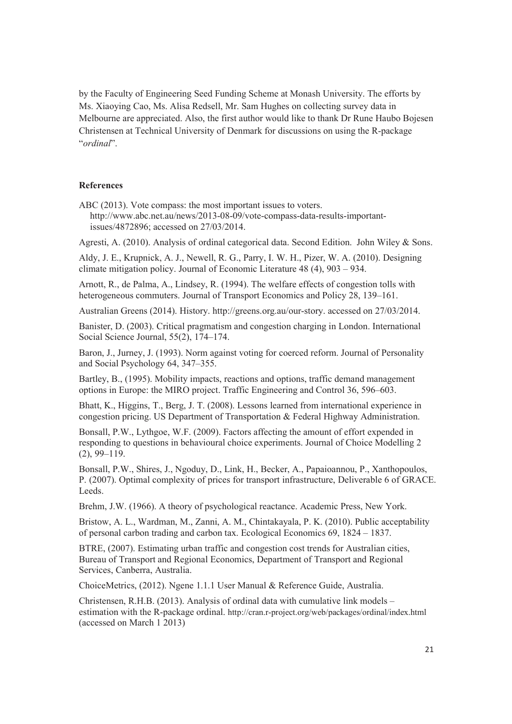by the Faculty of Engineering Seed Funding Scheme at Monash University. The efforts by Ms. Xiaoying Cao, Ms. Alisa Redsell, Mr. Sam Hughes on collecting survey data in Melbourne are appreciated. Also, the first author would like to thank Dr Rune Haubo Bojesen Christensen at Technical University of Denmark for discussions on using the R-package "*ordinal*".

## **References**

ABC (2013). Vote compass: the most important issues to voters. http://www.abc.net.au/news/2013-08-09/vote-compass-data-results-importantissues/4872896; accessed on 27/03/2014.

Agresti, A. (2010). Analysis of ordinal categorical data. Second Edition. John Wiley & Sons.

Aldy, J. E., Krupnick, A. J., Newell, R. G., Parry, I. W. H., Pizer, W. A. (2010). Designing climate mitigation policy. Journal of Economic Literature 48 (4), 903 – 934.

Arnott, R., de Palma, A., Lindsey, R. (1994). The welfare effects of congestion tolls with heterogeneous commuters. Journal of Transport Economics and Policy 28, 139–161.

Australian Greens (2014). History. http://greens.org.au/our-story. accessed on 27/03/2014.

Banister, D. (2003). Critical pragmatism and congestion charging in London. International Social Science Journal, 55(2), 174–174.

Baron, J., Jurney, J. (1993). Norm against voting for coerced reform. Journal of Personality and Social Psychology 64, 347–355.

Bartley, B., (1995). Mobility impacts, reactions and options, traffic demand management options in Europe: the MIRO project. Traffic Engineering and Control 36, 596–603.

Bhatt, K., Higgins, T., Berg, J. T. (2008). Lessons learned from international experience in congestion pricing. US Department of Transportation & Federal Highway Administration.

Bonsall, P.W., Lythgoe, W.F. (2009). Factors affecting the amount of effort expended in responding to questions in behavioural choice experiments. Journal of Choice Modelling 2 (2), 99–119.

Bonsall, P.W., Shires, J., Ngoduy, D., Link, H., Becker, A., Papaioannou, P., Xanthopoulos, P. (2007). Optimal complexity of prices for transport infrastructure, Deliverable 6 of GRACE. Leeds.

Brehm, J.W. (1966). A theory of psychological reactance. Academic Press, New York.

Bristow, A. L., Wardman, M., Zanni, A. M., Chintakayala, P. K. (2010). Public acceptability of personal carbon trading and carbon tax. Ecological Economics 69, 1824 – 1837.

BTRE, (2007). Estimating urban traffic and congestion cost trends for Australian cities, Bureau of Transport and Regional Economics, Department of Transport and Regional Services, Canberra, Australia.

ChoiceMetrics, (2012). Ngene 1.1.1 User Manual & Reference Guide, Australia.

Christensen, R.H.B. (2013). Analysis of ordinal data with cumulative link models – estimation with the R-package ordinal. http://cran.r-project.org/web/packages/ordinal/index.html (accessed on March 1 2013)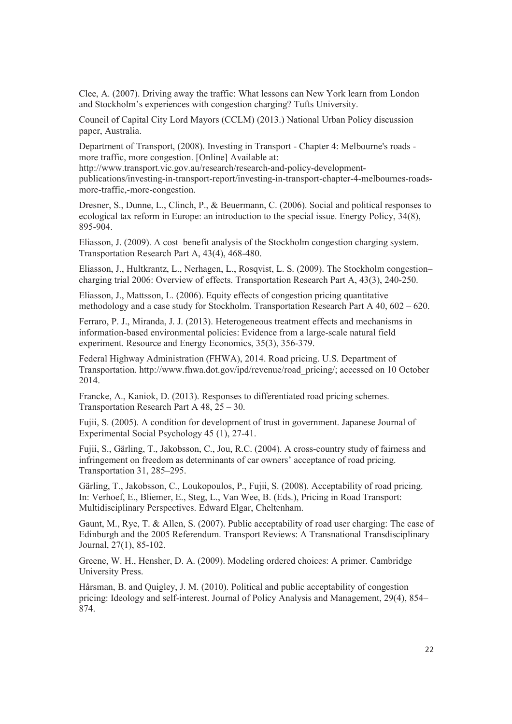Clee, A. (2007). Driving away the traffic: What lessons can New York learn from London and Stockholm's experiences with congestion charging? Tufts University.

Council of Capital City Lord Mayors (CCLM) (2013.) National Urban Policy discussion paper, Australia.

Department of Transport, (2008). Investing in Transport - Chapter 4: Melbourne's roads more traffic, more congestion. [Online] Available at:

http://www.transport.vic.gov.au/research/research-and-policy-development-

publications/investing-in-transport-report/investing-in-transport-chapter-4-melbournes-roadsmore-traffic,-more-congestion.

Dresner, S., Dunne, L., Clinch, P., & Beuermann, C. (2006). Social and political responses to ecological tax reform in Europe: an introduction to the special issue. Energy Policy, 34(8), 895-904.

Eliasson, J. (2009). A cost–benefit analysis of the Stockholm congestion charging system. Transportation Research Part A, 43(4), 468-480.

Eliasson, J., Hultkrantz, L., Nerhagen, L., Rosqvist, L. S. (2009). The Stockholm congestion– charging trial 2006: Overview of effects. Transportation Research Part A, 43(3), 240-250.

Eliasson, J., Mattsson, L. (2006). Equity effects of congestion pricing quantitative methodology and a case study for Stockholm. Transportation Research Part A 40, 602 – 620.

Ferraro, P. J., Miranda, J. J. (2013). Heterogeneous treatment effects and mechanisms in information-based environmental policies: Evidence from a large-scale natural field experiment. Resource and Energy Economics, 35(3), 356-379.

Federal Highway Administration (FHWA), 2014. Road pricing. U.S. Department of Transportation. http://www.fhwa.dot.gov/ipd/revenue/road\_pricing/; accessed on 10 October 2014.

Francke, A., Kaniok, D. (2013). Responses to differentiated road pricing schemes. Transportation Research Part A 48, 25 – 30.

Fujii, S. (2005). A condition for development of trust in government. Japanese Journal of Experimental Social Psychology 45 (1), 27-41.

Fujii, S., Gärling, T., Jakobsson, C., Jou, R.C. (2004). A cross-country study of fairness and infringement on freedom as determinants of car owners' acceptance of road pricing. Transportation 31, 285–295.

Gärling, T., Jakobsson, C., Loukopoulos, P., Fujii, S. (2008). Acceptability of road pricing. In: Verhoef, E., Bliemer, E., Steg, L., Van Wee, B. (Eds.), Pricing in Road Transport: Multidisciplinary Perspectives. Edward Elgar, Cheltenham.

Gaunt, M., Rye, T. & Allen, S. (2007). Public acceptability of road user charging: The case of Edinburgh and the 2005 Referendum. Transport Reviews: A Transnational Transdisciplinary Journal, 27(1), 85-102.

Greene, W. H., Hensher, D. A. (2009). Modeling ordered choices: A primer. Cambridge University Press.

Hårsman, B. and Quigley, J. M. (2010). Political and public acceptability of congestion pricing: Ideology and self-interest. Journal of Policy Analysis and Management, 29(4), 854– 874.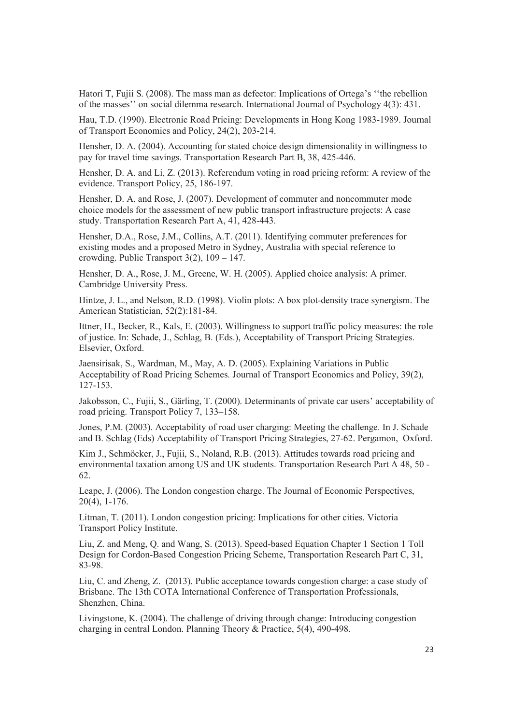Hatori T, Fujii S. (2008). The mass man as defector: Implications of Ortega's ''the rebellion of the masses'' on social dilemma research. International Journal of Psychology 4(3): 431.

Hau, T.D. (1990). Electronic Road Pricing: Developments in Hong Kong 1983-1989. Journal of Transport Economics and Policy, 24(2), 203-214.

Hensher, D. A. (2004). Accounting for stated choice design dimensionality in willingness to pay for travel time savings. Transportation Research Part B, 38, 425-446.

Hensher, D. A. and Li, Z. (2013). Referendum voting in road pricing reform: A review of the evidence. Transport Policy, 25, 186-197.

Hensher, D. A. and Rose, J. (2007). Development of commuter and noncommuter mode choice models for the assessment of new public transport infrastructure projects: A case study. Transportation Research Part A, 41, 428-443.

Hensher, D.A., Rose, J.M., Collins, A.T. (2011). Identifying commuter preferences for existing modes and a proposed Metro in Sydney, Australia with special reference to crowding. Public Transport 3(2), 109 – 147.

Hensher, D. A., Rose, J. M., Greene, W. H. (2005). Applied choice analysis: A primer. Cambridge University Press.

Hintze, J. L., and Nelson, R.D. (1998). Violin plots: A box plot-density trace synergism. The American Statistician, 52(2):181-84.

Ittner, H., Becker, R., Kals, E. (2003). Willingness to support traffic policy measures: the role of justice. In: Schade, J., Schlag, B. (Eds.), Acceptability of Transport Pricing Strategies. Elsevier, Oxford.

Jaensirisak, S., Wardman, M., May, A. D. (2005). Explaining Variations in Public Acceptability of Road Pricing Schemes. Journal of Transport Economics and Policy, 39(2), 127-153.

Jakobsson, C., Fujii, S., Gärling, T. (2000). Determinants of private car users' acceptability of road pricing. Transport Policy 7, 133–158.

Jones, P.M. (2003). Acceptability of road user charging: Meeting the challenge. In J. Schade and B. Schlag (Eds) Acceptability of Transport Pricing Strategies, 27-62. Pergamon, Oxford.

Kim J., Schmöcker, J., Fujii, S., Noland, R.B. (2013). Attitudes towards road pricing and environmental taxation among US and UK students. Transportation Research Part A 48, 50 - 62.

Leape, J. (2006). The London congestion charge. The Journal of Economic Perspectives, 20(4), 1-176.

Litman, T. (2011). London congestion pricing: Implications for other cities. Victoria Transport Policy Institute.

Liu, Z. and Meng, Q. and Wang, S. (2013). Speed-based Equation Chapter 1 Section 1 Toll Design for Cordon-Based Congestion Pricing Scheme, Transportation Research Part C, 31, 83-98.

Liu, C. and Zheng, Z. (2013). Public acceptance towards congestion charge: a case study of Brisbane. The 13th COTA International Conference of Transportation Professionals, Shenzhen, China.

Livingstone, K. (2004). The challenge of driving through change: Introducing congestion charging in central London. Planning Theory & Practice, 5(4), 490-498.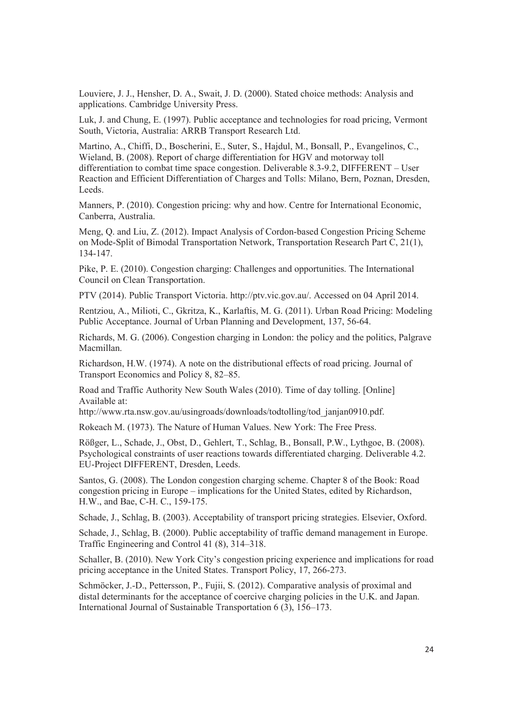Louviere, J. J., Hensher, D. A., Swait, J. D. (2000). Stated choice methods: Analysis and applications. Cambridge University Press.

Luk, J. and Chung, E. (1997). Public acceptance and technologies for road pricing, Vermont South, Victoria, Australia: ARRB Transport Research Ltd.

Martino, A., Chiffi, D., Boscherini, E., Suter, S., Hajdul, M., Bonsall, P., Evangelinos, C., Wieland, B. (2008). Report of charge differentiation for HGV and motorway toll differentiation to combat time space congestion. Deliverable 8.3-9.2, DIFFERENT – User Reaction and Efficient Differentiation of Charges and Tolls: Milano, Bern, Poznan, Dresden, Leeds.

Manners, P. (2010). Congestion pricing: why and how. Centre for International Economic, Canberra, Australia.

Meng, Q. and Liu, Z. (2012). Impact Analysis of Cordon-based Congestion Pricing Scheme on Mode-Split of Bimodal Transportation Network, Transportation Research Part C, 21(1), 134-147.

Pike, P. E. (2010). Congestion charging: Challenges and opportunities. The International Council on Clean Transportation.

PTV (2014). Public Transport Victoria. http://ptv.vic.gov.au/. Accessed on 04 April 2014.

Rentziou, A., Milioti, C., Gkritza, K., Karlaftis, M. G. (2011). Urban Road Pricing: Modeling Public Acceptance. Journal of Urban Planning and Development, 137, 56-64.

Richards, M. G. (2006). Congestion charging in London: the policy and the politics, Palgrave Macmillan.

Richardson, H.W. (1974). A note on the distributional effects of road pricing. Journal of Transport Economics and Policy 8, 82–85.

Road and Traffic Authority New South Wales (2010). Time of day tolling. [Online] Available at:

http://www.rta.nsw.gov.au/usingroads/downloads/todtolling/tod\_janjan0910.pdf.

Rokeach M. (1973). The Nature of Human Values. New York: The Free Press.

Rößger, L., Schade, J., Obst, D., Gehlert, T., Schlag, B., Bonsall, P.W., Lythgoe, B. (2008). Psychological constraints of user reactions towards differentiated charging. Deliverable 4.2. EU-Project DIFFERENT, Dresden, Leeds.

Santos, G. (2008). The London congestion charging scheme. Chapter 8 of the Book: Road congestion pricing in Europe – implications for the United States, edited by Richardson, H.W., and Bae, C-H. C., 159-175.

Schade, J., Schlag, B. (2003). Acceptability of transport pricing strategies. Elsevier, Oxford.

Schade, J., Schlag, B. (2000). Public acceptability of traffic demand management in Europe. Traffic Engineering and Control 41 (8), 314–318.

Schaller, B. (2010). New York City's congestion pricing experience and implications for road pricing acceptance in the United States. Transport Policy, 17, 266-273.

Schmöcker, J.-D., Pettersson, P., Fujii, S. (2012). Comparative analysis of proximal and distal determinants for the acceptance of coercive charging policies in the U.K. and Japan. International Journal of Sustainable Transportation 6 (3), 156–173.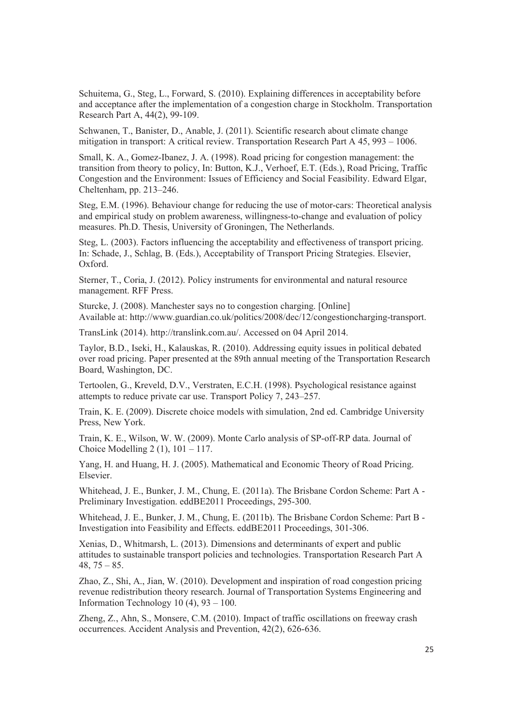Schuitema, G., Steg, L., Forward, S. (2010). Explaining differences in acceptability before and acceptance after the implementation of a congestion charge in Stockholm. Transportation Research Part A, 44(2), 99-109.

Schwanen, T., Banister, D., Anable, J. (2011). Scientific research about climate change mitigation in transport: A critical review. Transportation Research Part A 45, 993 – 1006.

Small, K. A., Gomez-Ibanez, J. A. (1998). Road pricing for congestion management: the transition from theory to policy, In: Button, K.J., Verhoef, E.T. (Eds.), Road Pricing, Traffic Congestion and the Environment: Issues of Efficiency and Social Feasibility. Edward Elgar, Cheltenham, pp. 213–246.

Steg, E.M. (1996). Behaviour change for reducing the use of motor-cars: Theoretical analysis and empirical study on problem awareness, willingness-to-change and evaluation of policy measures. Ph.D. Thesis, University of Groningen, The Netherlands.

Steg, L. (2003). Factors influencing the acceptability and effectiveness of transport pricing. In: Schade, J., Schlag, B. (Eds.), Acceptability of Transport Pricing Strategies. Elsevier, Oxford.

Sterner, T., Coria, J. (2012). Policy instruments for environmental and natural resource management. RFF Press.

Sturcke, J. (2008). Manchester says no to congestion charging. [Online] Available at: http://www.guardian.co.uk/politics/2008/dec/12/congestioncharging-transport.

TransLink (2014). http://translink.com.au/. Accessed on 04 April 2014.

Taylor, B.D., Iseki, H., Kalauskas, R. (2010). Addressing equity issues in political debated over road pricing. Paper presented at the 89th annual meeting of the Transportation Research Board, Washington, DC.

Tertoolen, G., Kreveld, D.V., Verstraten, E.C.H. (1998). Psychological resistance against attempts to reduce private car use. Transport Policy 7, 243–257.

Train, K. E. (2009). Discrete choice models with simulation, 2nd ed. Cambridge University Press, New York.

Train, K. E., Wilson, W. W. (2009). Monte Carlo analysis of SP-off-RP data. Journal of Choice Modelling  $2(1)$ ,  $101 - 117$ .

Yang, H. and Huang, H. J. (2005). Mathematical and Economic Theory of Road Pricing. Elsevier.

Whitehead, J. E., Bunker, J. M., Chung, E. (2011a). The Brisbane Cordon Scheme: Part A - Preliminary Investigation. eddBE2011 Proceedings, 295-300.

Whitehead, J. E., Bunker, J. M., Chung, E. (2011b). The Brisbane Cordon Scheme: Part B - Investigation into Feasibility and Effects. eddBE2011 Proceedings, 301-306.

Xenias, D., Whitmarsh, L. (2013). Dimensions and determinants of expert and public attitudes to sustainable transport policies and technologies. Transportation Research Part A  $48, 75 - 85.$ 

Zhao, Z., Shi, A., Jian, W. (2010). Development and inspiration of road congestion pricing revenue redistribution theory research. Journal of Transportation Systems Engineering and Information Technology 10  $(4)$ , 93 – 100.

Zheng, Z., Ahn, S., Monsere, C.M. (2010). Impact of traffic oscillations on freeway crash occurrences. Accident Analysis and Prevention, 42(2), 626-636.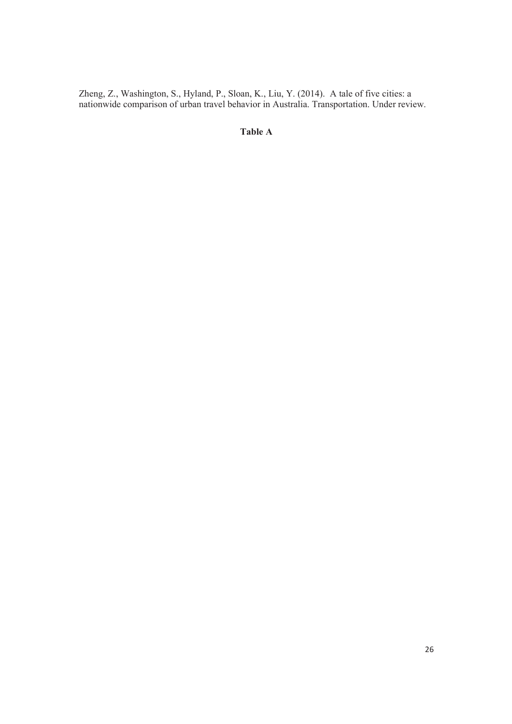Zheng, Z., Washington, S., Hyland, P., Sloan, K., Liu, Y. (2014). A tale of five cities: a nationwide comparison of urban travel behavior in Australia. Transportation. Under review.

**Table A**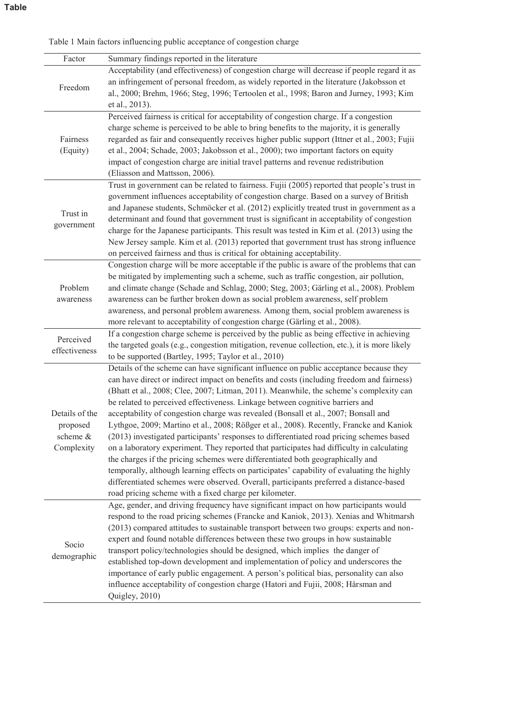Table 1 Main factors influencing public acceptance of congestion charge

| Factor         | Summary findings reported in the literature                                                   |
|----------------|-----------------------------------------------------------------------------------------------|
|                | Acceptability (and effectiveness) of congestion charge will decrease if people regard it as   |
| Freedom        | an infringement of personal freedom, as widely reported in the literature (Jakobsson et       |
|                | al., 2000; Brehm, 1966; Steg, 1996; Tertoolen et al., 1998; Baron and Jurney, 1993; Kim       |
|                | et al., 2013).                                                                                |
|                | Perceived fairness is critical for acceptability of congestion charge. If a congestion        |
|                | charge scheme is perceived to be able to bring benefits to the majority, it is generally      |
| Fairness       | regarded as fair and consequently receives higher public support (Ittner et al., 2003; Fujii  |
| (Equity)       | et al., 2004; Schade, 2003; Jakobsson et al., 2000); two important factors on equity          |
|                | impact of congestion charge are initial travel patterns and revenue redistribution            |
|                | (Eliasson and Mattsson, 2006).                                                                |
|                | Trust in government can be related to fairness. Fujii (2005) reported that people's trust in  |
|                | government influences acceptability of congestion charge. Based on a survey of British        |
|                | and Japanese students, Schmöcker et al. (2012) explicitly treated trust in government as a    |
| Trust in       | determinant and found that government trust is significant in acceptability of congestion     |
| government     | charge for the Japanese participants. This result was tested in Kim et al. (2013) using the   |
|                | New Jersey sample. Kim et al. (2013) reported that government trust has strong influence      |
|                | on perceived fairness and thus is critical for obtaining acceptability.                       |
|                | Congestion charge will be more acceptable if the public is aware of the problems that can     |
|                | be mitigated by implementing such a scheme, such as traffic congestion, air pollution,        |
| Problem        | and climate change (Schade and Schlag, 2000; Steg, 2003; Gärling et al., 2008). Problem       |
| awareness      | awareness can be further broken down as social problem awareness, self problem                |
|                | awareness, and personal problem awareness. Among them, social problem awareness is            |
|                | more relevant to acceptability of congestion charge (Gärling et al., 2008).                   |
|                | If a congestion charge scheme is perceived by the public as being effective in achieving      |
| Perceived      | the targeted goals (e.g., congestion mitigation, revenue collection, etc.), it is more likely |
| effectiveness  | to be supported (Bartley, 1995; Taylor et al., 2010)                                          |
|                | Details of the scheme can have significant influence on public acceptance because they        |
|                | can have direct or indirect impact on benefits and costs (including freedom and fairness)     |
|                | (Bhatt et al., 2008; Clee, 2007; Litman, 2011). Meanwhile, the scheme's complexity can        |
|                | be related to perceived effectiveness. Linkage between cognitive barriers and                 |
| Details of the | acceptability of congestion charge was revealed (Bonsall et al., 2007; Bonsall and            |
| proposed       | Lythgoe, 2009; Martino et al., 2008; Rößger et al., 2008). Recently, Francke and Kaniok       |
| scheme &       | (2013) investigated participants' responses to differentiated road pricing schemes based      |
| Complexity     | on a laboratory experiment. They reported that participates had difficulty in calculating     |
|                | the charges if the pricing schemes were differentiated both geographically and                |
|                | temporally, although learning effects on participates' capability of evaluating the highly    |
|                | differentiated schemes were observed. Overall, participants preferred a distance-based        |
|                | road pricing scheme with a fixed charge per kilometer.                                        |
|                | Age, gender, and driving frequency have significant impact on how participants would          |
|                | respond to the road pricing schemes (Francke and Kaniok, 2013). Xenias and Whitmarsh          |
|                | (2013) compared attitudes to sustainable transport between two groups: experts and non-       |
|                | expert and found notable differences between these two groups in how sustainable              |
| Socio          | transport policy/technologies should be designed, which implies the danger of                 |
| demographic    | established top-down development and implementation of policy and underscores the             |
|                | importance of early public engagement. A person's political bias, personality can also        |
|                | influence acceptability of congestion charge (Hatori and Fujii, 2008; Hårsman and             |
|                | Quigley, 2010)                                                                                |
|                |                                                                                               |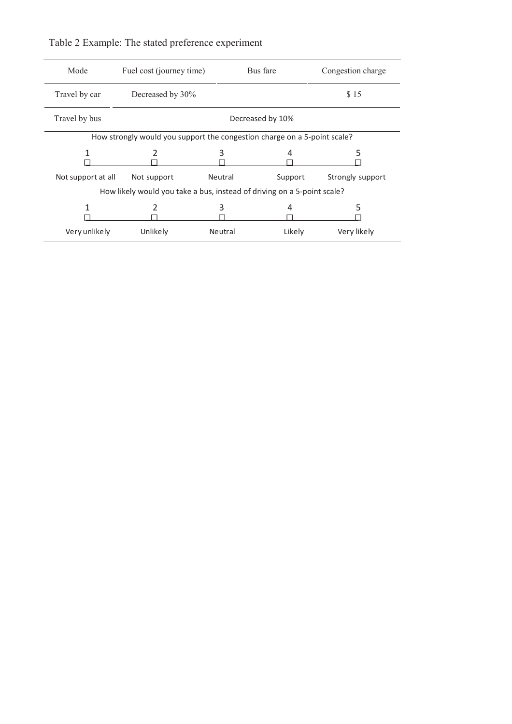| Mode               | Bus fare<br>Fuel cost (journey time)                                     |         |         | Congestion charge |  |
|--------------------|--------------------------------------------------------------------------|---------|---------|-------------------|--|
| Travel by car      | Decreased by 30%                                                         |         |         | \$15              |  |
| Travel by bus      | Decreased by 10%                                                         |         |         |                   |  |
|                    | How strongly would you support the congestion charge on a 5-point scale? |         |         |                   |  |
|                    |                                                                          | 3       | 4       | 5                 |  |
| Not support at all | Not support                                                              | Neutral | Support | Strongly support  |  |
|                    | How likely would you take a bus, instead of driving on a 5-point scale?  |         |         |                   |  |
|                    |                                                                          | ੨       | 4       |                   |  |
| Very unlikely      | Unlikely                                                                 | Neutral | Likely  | Very likely       |  |

Table 2 Example: The stated preference experiment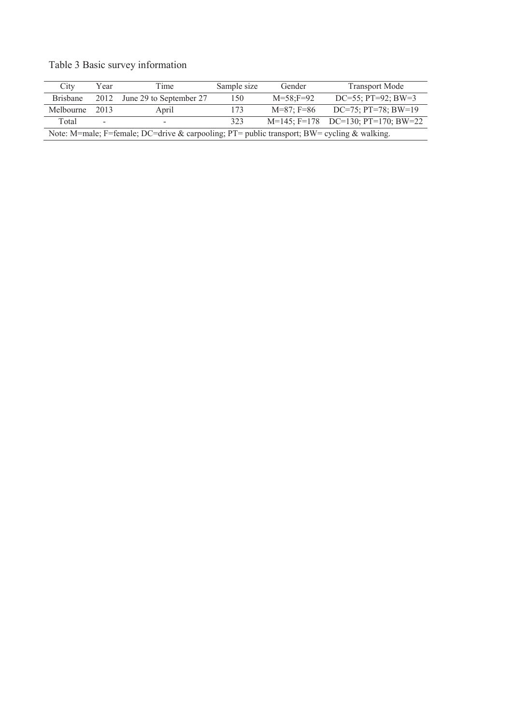Table 3 Basic survey information

| City            | Year                                                                                        | Time                         | Sample size | Gender         | <b>Transport Mode</b>                 |  |
|-----------------|---------------------------------------------------------------------------------------------|------------------------------|-------------|----------------|---------------------------------------|--|
| <b>Brisbane</b> |                                                                                             | 2012 June 29 to September 27 | 150         | $M = 58:$ F=92 | $DC=55$ : $PT=92$ : $BW=3$            |  |
| Melbourne       | 2013                                                                                        | April                        | 173         | $M=87:$ F=86   | $DC=75$ : $PT=78$ : $BW=19$           |  |
| Total           | -                                                                                           | $\overline{\phantom{a}}$     | 323         |                | $M=145$ : F=178 DC=130: PT=170: BW=22 |  |
|                 | Note: M=male; F=female; DC=drive & carpooling; PT= public transport; BW= cycling & walking. |                              |             |                |                                       |  |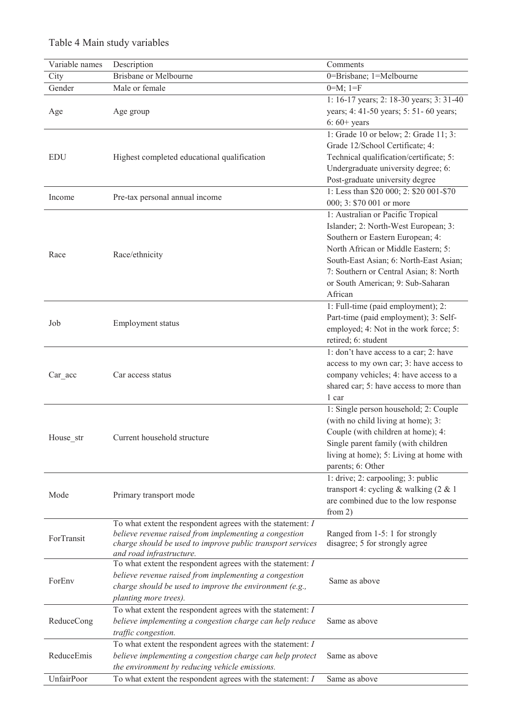# Table 4 Main study variables

| Variable names | Description                                                                            | Comments                                  |
|----------------|----------------------------------------------------------------------------------------|-------------------------------------------|
| City           | <b>Brisbane</b> or Melbourne                                                           | 0=Brisbane; 1=Melbourne                   |
| Gender         | Male or female                                                                         | $0=M$ ; $1=F$                             |
|                |                                                                                        | 1: 16-17 years; 2: 18-30 years; 3: 31-40  |
| Age            | Age group                                                                              | years; 4: 41-50 years; 5: 51-60 years;    |
|                |                                                                                        | $6:60+years$                              |
|                |                                                                                        | 1: Grade 10 or below; 2: Grade 11; 3:     |
|                |                                                                                        | Grade 12/School Certificate; 4:           |
| <b>EDU</b>     | Highest completed educational qualification                                            | Technical qualification/certificate; 5:   |
|                |                                                                                        | Undergraduate university degree; 6:       |
|                |                                                                                        | Post-graduate university degree           |
|                |                                                                                        | 1: Less than \$20 000; 2: \$20 001-\$70   |
| Income         | Pre-tax personal annual income                                                         | 000; 3: \$70 001 or more                  |
|                |                                                                                        | 1: Australian or Pacific Tropical         |
|                |                                                                                        | Islander; 2: North-West European; 3:      |
|                |                                                                                        | Southern or Eastern European; 4:          |
|                |                                                                                        | North African or Middle Eastern; 5:       |
| Race           | Race/ethnicity                                                                         | South-East Asian; 6: North-East Asian;    |
|                |                                                                                        | 7: Southern or Central Asian; 8: North    |
|                |                                                                                        | or South American; 9: Sub-Saharan         |
|                |                                                                                        | African                                   |
|                |                                                                                        | 1: Full-time (paid employment); 2:        |
|                |                                                                                        | Part-time (paid employment); 3: Self-     |
| Job            | Employment status                                                                      | employed; 4: Not in the work force; 5:    |
|                |                                                                                        | retired; 6: student                       |
|                |                                                                                        | 1: don't have access to a car; 2: have    |
|                | Car access status                                                                      | access to my own car; 3: have access to   |
| $Car_$         |                                                                                        | company vehicles; 4: have access to a     |
|                |                                                                                        | shared car; 5: have access to more than   |
|                |                                                                                        | 1 car                                     |
|                |                                                                                        | 1: Single person household; 2: Couple     |
|                |                                                                                        | (with no child living at home); 3:        |
| House str      | Current household structure                                                            | Couple (with children at home); 4:        |
|                |                                                                                        | Single parent family (with children       |
|                |                                                                                        | living at home); 5: Living at home with   |
|                |                                                                                        | parents; 6: Other                         |
|                |                                                                                        | 1: drive; 2: carpooling; 3: public        |
| Mode           | Primary transport mode                                                                 | transport 4: cycling & walking $(2 \& 1)$ |
|                |                                                                                        | are combined due to the low response      |
|                |                                                                                        | from $2)$                                 |
|                | To what extent the respondent agrees with the statement: $I$                           |                                           |
| ForTransit     | believe revenue raised from implementing a congestion                                  | Ranged from 1-5: 1 for strongly           |
|                | charge should be used to improve public transport services<br>and road infrastructure. | disagree; 5 for strongly agree            |
|                | To what extent the respondent agrees with the statement: $I$                           |                                           |
|                | believe revenue raised from implementing a congestion                                  |                                           |
| ForEnv         | charge should be used to improve the environment (e.g.,                                | Same as above                             |
|                | planting more trees).                                                                  |                                           |
|                | To what extent the respondent agrees with the statement: I                             |                                           |
| ReduceCong     | believe implementing a congestion charge can help reduce                               | Same as above                             |
|                | traffic congestion.                                                                    |                                           |
|                | To what extent the respondent agrees with the statement: $I$                           |                                           |
| ReduceEmis     | believe implementing a congestion charge can help protect                              | Same as above                             |
|                | the environment by reducing vehicle emissions.                                         |                                           |
| UnfairPoor     | To what extent the respondent agrees with the statement: I                             | Same as above                             |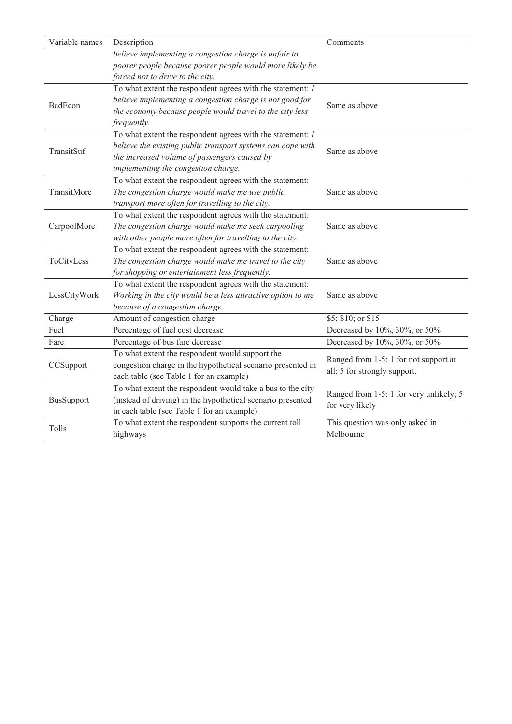| Variable names | Description                                                  | Comments                                                              |
|----------------|--------------------------------------------------------------|-----------------------------------------------------------------------|
|                | believe implementing a congestion charge is unfair to        |                                                                       |
|                | poorer people because poorer people would more likely be     |                                                                       |
|                | forced not to drive to the city.                             |                                                                       |
|                | To what extent the respondent agrees with the statement: I   |                                                                       |
| BadEcon        | believe implementing a congestion charge is not good for     | Same as above                                                         |
|                | the economy because people would travel to the city less     |                                                                       |
|                | frequently.                                                  |                                                                       |
|                | To what extent the respondent agrees with the statement: $I$ |                                                                       |
| TransitSuf     | believe the existing public transport systems can cope with  | Same as above                                                         |
|                | the increased volume of passengers caused by                 |                                                                       |
|                | implementing the congestion charge.                          |                                                                       |
|                | To what extent the respondent agrees with the statement:     |                                                                       |
| TransitMore    | The congestion charge would make me use public               | Same as above                                                         |
|                | transport more often for travelling to the city.             |                                                                       |
|                | To what extent the respondent agrees with the statement:     |                                                                       |
| CarpoolMore    | The congestion charge would make me seek carpooling          | Same as above                                                         |
|                | with other people more often for travelling to the city.     |                                                                       |
|                | To what extent the respondent agrees with the statement:     |                                                                       |
| ToCityLess     | The congestion charge would make me travel to the city       | Same as above                                                         |
|                | for shopping or entertainment less frequently.               |                                                                       |
|                | To what extent the respondent agrees with the statement:     |                                                                       |
| LessCityWork   | Working in the city would be a less attractive option to me  | Same as above                                                         |
|                | because of a congestion charge.                              |                                                                       |
| Charge         | Amount of congestion charge                                  | \$5; \$10; or \$15                                                    |
| Fuel           | Percentage of fuel cost decrease                             | Decreased by 10%, 30%, or 50%                                         |
| Fare           | Percentage of bus fare decrease                              | Decreased by 10%, 30%, or 50%                                         |
|                | To what extent the respondent would support the              |                                                                       |
| CCSupport      | congestion charge in the hypothetical scenario presented in  | Ranged from 1-5: 1 for not support at<br>all; 5 for strongly support. |
|                | each table (see Table 1 for an example)                      |                                                                       |
|                | To what extent the respondent would take a bus to the city   | Ranged from 1-5: 1 for very unlikely; 5                               |
| BusSupport     | (instead of driving) in the hypothetical scenario presented  | for very likely                                                       |
|                | in each table (see Table 1 for an example)                   |                                                                       |
| Tolls          | To what extent the respondent supports the current toll      | This question was only asked in                                       |
|                | highways                                                     | Melbourne                                                             |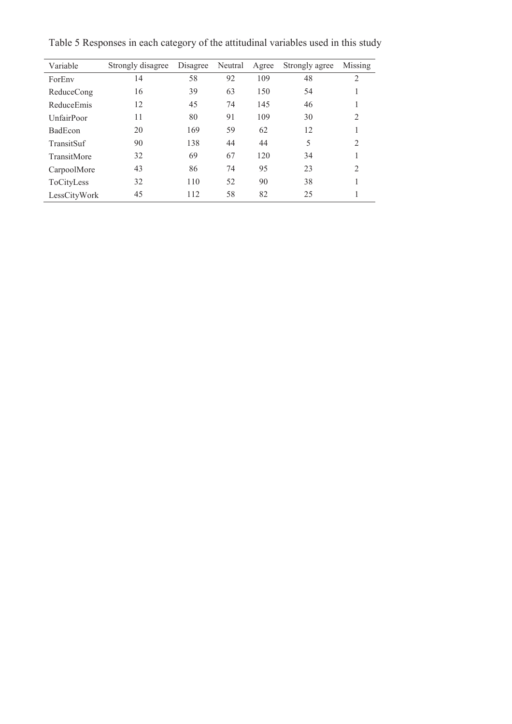| Variable     | Strongly disagree | Disagree | Neutral | Agree | Strongly agree | Missing        |
|--------------|-------------------|----------|---------|-------|----------------|----------------|
| ForEnv       | 14                | 58       | 92      | 109   | 48             | $\overline{2}$ |
| ReduceCong   | 16                | 39       | 63      | 150   | 54             |                |
| ReduceEmis   | 12                | 45       | 74      | 145   | 46             |                |
| UnfairPoor   | 11                | 80       | 91      | 109   | 30             | $\overline{2}$ |
| BadEcon      | 20                | 169      | 59      | 62    | 12             |                |
| TransitSuf   | 90                | 138      | 44      | 44    | 5              | $\overline{2}$ |
| TransitMore  | 32                | 69       | 67      | 120   | 34             |                |
| CarpoolMore  | 43                | 86       | 74      | 95    | 23             | $\overline{2}$ |
| ToCityLess   | 32                | 110      | 52      | 90    | 38             |                |
| LessCityWork | 45                | 112      | 58      | 82    | 25             |                |

Table 5 Responses in each category of the attitudinal variables used in this study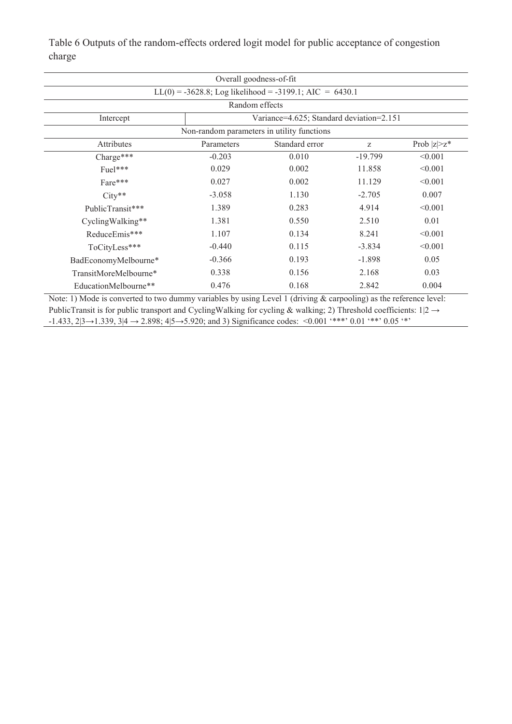|                                                                                                                              | Overall goodness-of-fit                    |                                                            |           |                |  |  |
|------------------------------------------------------------------------------------------------------------------------------|--------------------------------------------|------------------------------------------------------------|-----------|----------------|--|--|
|                                                                                                                              |                                            | $LL(0) = -3628.8$ ; Log likelihood = -3199.1; AIC = 6430.1 |           |                |  |  |
|                                                                                                                              | Random effects                             |                                                            |           |                |  |  |
| Intercept                                                                                                                    | Variance=4.625; Standard deviation=2.151   |                                                            |           |                |  |  |
|                                                                                                                              | Non-random parameters in utility functions |                                                            |           |                |  |  |
| Attributes                                                                                                                   | Parameters                                 | Standard error                                             | Z         | Prob $ z >z^*$ |  |  |
| Charge***                                                                                                                    | $-0.203$                                   | 0.010                                                      | $-19.799$ | < 0.001        |  |  |
| Fuel***                                                                                                                      | 0.029                                      | 0.002                                                      | 11.858    | < 0.001        |  |  |
| Fare***                                                                                                                      | 0.027                                      | 0.002                                                      | 11.129    | < 0.001        |  |  |
| City**                                                                                                                       | $-3.058$                                   | 1.130                                                      | $-2.705$  | 0.007          |  |  |
| PublicTransit***                                                                                                             | 1.389                                      | 0.283                                                      | 4.914     | < 0.001        |  |  |
| CyclingWalking**                                                                                                             | 1.381                                      | 0.550                                                      | 2.510     | 0.01           |  |  |
| ReduceEmis***                                                                                                                | 1.107                                      | 0.134                                                      | 8.241     | < 0.001        |  |  |
| ToCityLess***                                                                                                                | $-0.440$                                   | 0.115                                                      | $-3.834$  | < 0.001        |  |  |
| BadEconomyMelbourne*                                                                                                         | $-0.366$                                   | 0.193                                                      | $-1.898$  | 0.05           |  |  |
| TransitMoreMelbourne*                                                                                                        | 0.338                                      | 0.156                                                      | 2.168     | 0.03           |  |  |
| 0.476<br>0.168<br>0.004<br>2.842<br>EducationMelbourne**                                                                     |                                            |                                                            |           |                |  |  |
| Note: 1) Mode is converted to two dummy variables by using Level 1 (driving & carpooling) as the reference level:            |                                            |                                                            |           |                |  |  |
| PublicTransit is for public transport and CyclingWalking for cycling & walking; 2) Threshold coefficients: $1/2 \rightarrow$ |                                            |                                                            |           |                |  |  |

 $-1.433, 2\beta\rightarrow 1.339, 3\beta\rightarrow 2.898; 4\beta\rightarrow 5.920;$  and 3) Significance codes: <0.001 '\*\*\*' 0.01 '\*\*' 0.05 '\*'

Table 6 Outputs of the random-effects ordered logit model for public acceptance of congestion charge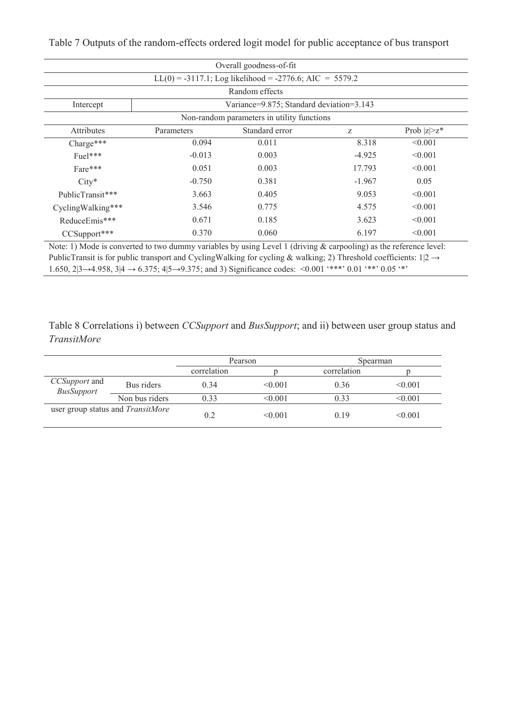|                   |            | Overall goodness-of-fit                                    |          |                |
|-------------------|------------|------------------------------------------------------------|----------|----------------|
|                   |            | $LL(0) = -3117.1$ ; Log likelihood = -2776.6; AIC = 5579.2 |          |                |
|                   |            | Random effects                                             |          |                |
| Intercept         |            | Variance=9.875; Standard deviation=3.143                   |          |                |
|                   |            | Non-random parameters in utility functions                 |          |                |
| <b>Attributes</b> | Parameters | Standard error                                             | Z        | Prob $ z >z^*$ |
| Charge***         | 0.094      | 0.011                                                      | 8.318    | < 0.001        |
| $Fuel***$         | $-0.013$   | 0.003                                                      | $-4.925$ | < 0.001        |
| Fare***           | 0.051      | 0.003                                                      | 17.793   | < 0.001        |
| $City*$           | $-0.750$   | 0.381                                                      | $-1.967$ | 0.05           |
| PublicTransit***  | 3.663      | 0.405                                                      | 9.053    | < 0.001        |
| CyclingWalking*** | 3.546      | 0.775                                                      | 4.575    | < 0.001        |
| ReduceEmis***     | 0.671      | 0.185                                                      | 3.623    | < 0.001        |
| CCSupport***      | 0.370      | 0.060                                                      | 6.197    | < 0.001        |

Table 7 Outputs of the random-effects ordered logit model for public acceptance of bus transport

Note: 1) Mode is converted to two dummy variables by using Level 1 (driving & carpooling) as the reference level: PublicTransit is for public transport and CyclingWalking for cycling & walking; 2) Threshold coefficients:  $1|2 \rightarrow$ 1.650, 2|3→4.958, 3|4 → 6.375; 4|5→9.375; and 3) Significance codes: <0.001 '\*\*\*' 0.01 '\*\*' 0.05 '\*'

Table 8 Correlations i) between *CCSupport* and *BusSupport*; and ii) between user group status and *TransitMore*

|                                    |                                          | Pearson     |         | Spearman    |         |
|------------------------------------|------------------------------------------|-------------|---------|-------------|---------|
|                                    |                                          | correlation |         | correlation |         |
| CCSupport and<br><b>BusSupport</b> | Bus riders                               | 0.34        | < 0.001 | 0.36        | < 0.001 |
|                                    | Non bus riders                           | 0.33        | < 0.001 | 0.33        | < 0.001 |
|                                    | user group status and <i>TransitMore</i> | 0.2         | < 0.001 | 0.19        | < 0.001 |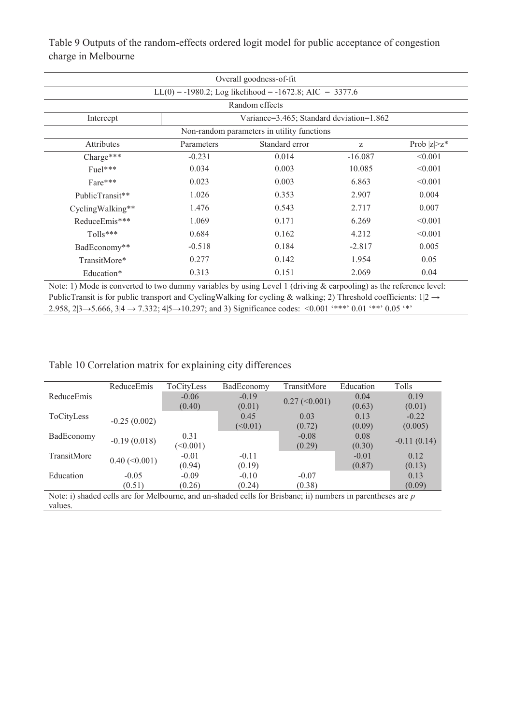|                  |            | Overall goodness-of-fit                                 |           |                |
|------------------|------------|---------------------------------------------------------|-----------|----------------|
|                  |            | LL(0) = -1980.2; Log likelihood = -1672.8; AIC = 3377.6 |           |                |
|                  |            | Random effects                                          |           |                |
| Intercept        |            | Variance=3.465; Standard deviation=1.862                |           |                |
|                  |            | Non-random parameters in utility functions              |           |                |
| Attributes       | Parameters | Standard error                                          | Z         | Prob $ z >z^*$ |
| Charge***        | $-0.231$   | 0.014                                                   | $-16.087$ | < 0.001        |
| Fuel***          | 0.034      | 0.003                                                   | 10.085    | < 0.001        |
| Fare***          | 0.023      | 0.003                                                   | 6.863     | < 0.001        |
| PublicTransit**  | 1.026      | 0.353                                                   | 2.907     | 0.004          |
| CyclingWalking** | 1.476      | 0.543                                                   | 2.717     | 0.007          |
| ReduceEmis***    | 1.069      | 0.171                                                   | 6.269     | < 0.001        |
| Tolls***         | 0.684      | 0.162                                                   | 4.212     | < 0.001        |
| BadEconomy**     | $-0.518$   | 0.184                                                   | $-2.817$  | 0.005          |
| TransitMore*     | 0.277      | 0.142                                                   | 1.954     | 0.05           |
| Education*       | 0.313      | 0.151                                                   | 2.069     | 0.04           |

Table 9 Outputs of the random-effects ordered logit model for public acceptance of congestion charge in Melbourne

Note: 1) Mode is converted to two dummy variables by using Level 1 (driving & carpooling) as the reference level: PublicTransit is for public transport and CyclingWalking for cycling & walking; 2) Threshold coefficients:  $1/2 \rightarrow$ 2.958, 2|3→5.666, 3|4 → 7.332; 4|5→10.297; and 3) Significance codes: <0.001 '\*\*\*' 0.01 '\*\*' 0.05 '\*'

# Table 10 Correlation matrix for explaining city differences

|             | ReduceEmis             | ToCityLess | BadEconomy                                                                                                    | TransitMore            | Education | Tolls         |
|-------------|------------------------|------------|---------------------------------------------------------------------------------------------------------------|------------------------|-----------|---------------|
| ReduceEmis  |                        | $-0.06$    | $-0.19$                                                                                                       | $0.27 \, (\leq 0.001)$ | 0.04      | 0.19          |
|             |                        | (0.40)     | (0.01)                                                                                                        |                        | (0.63)    | (0.01)        |
| ToCityLess  |                        |            | 0.45                                                                                                          | 0.03                   | 0.13      | $-0.22$       |
|             | $-0.25(0.002)$         |            | (<0.01)                                                                                                       | (0.72)                 | (0.09)    | (0.005)       |
| BadEconomy  |                        | 0.31       |                                                                                                               | $-0.08$                | 0.08      |               |
|             | $-0.19(0.018)$         | (0.001)    |                                                                                                               | (0.29)                 | (0.30)    | $-0.11(0.14)$ |
| TransitMore |                        | $-0.01$    | $-0.11$                                                                                                       |                        | $-0.01$   | 0.12          |
|             | $0.40 \, (\leq 0.001)$ | (0.94)     | (0.19)                                                                                                        |                        | (0.87)    | (0.13)        |
| Education   | $-0.05$                | $-0.09$    | $-0.10$                                                                                                       | $-0.07$                |           | 0.13          |
|             | (0.51)                 | (0.26)     | (0.24)                                                                                                        | (0.38)                 |           | (0.09)        |
|             |                        |            | Note: i) shaded cells are for Melbourne, and un-shaded cells for Brisbane; ii) numbers in parentheses are $p$ |                        |           |               |
| values.     |                        |            |                                                                                                               |                        |           |               |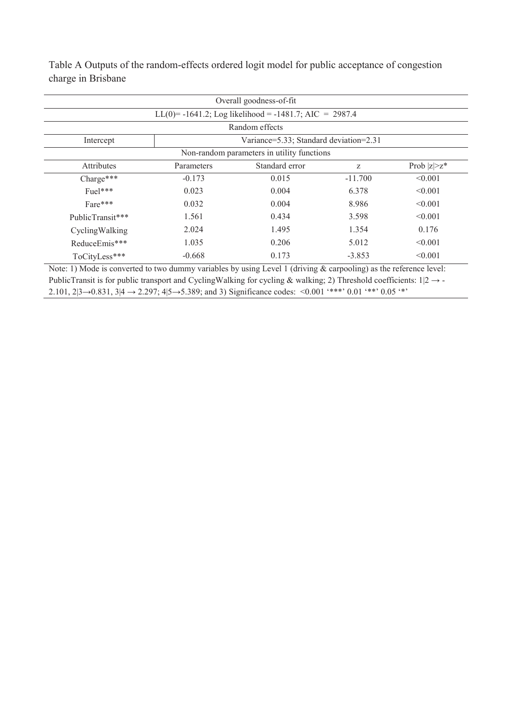|                                                                                                                                                                                                                                                        |                                            | Overall goodness-of-fit                               |           |                |  |  |  |
|--------------------------------------------------------------------------------------------------------------------------------------------------------------------------------------------------------------------------------------------------------|--------------------------------------------|-------------------------------------------------------|-----------|----------------|--|--|--|
|                                                                                                                                                                                                                                                        |                                            | LL(0)=-1641.2; Log likelihood = -1481.7; AIC = 2987.4 |           |                |  |  |  |
|                                                                                                                                                                                                                                                        |                                            | Random effects                                        |           |                |  |  |  |
| Intercept                                                                                                                                                                                                                                              |                                            | Variance=5.33; Standard deviation=2.31                |           |                |  |  |  |
|                                                                                                                                                                                                                                                        | Non-random parameters in utility functions |                                                       |           |                |  |  |  |
| <b>Attributes</b>                                                                                                                                                                                                                                      | Parameters                                 | Standard error                                        | Z         | Prob $ z >z^*$ |  |  |  |
| Charge***                                                                                                                                                                                                                                              | $-0.173$                                   | 0.015                                                 | $-11.700$ | < 0.001        |  |  |  |
| $Fuel***$                                                                                                                                                                                                                                              | 0.023                                      | 0.004                                                 | 6.378     | < 0.001        |  |  |  |
| $Fare***$                                                                                                                                                                                                                                              | 0.032                                      | 0.004                                                 | 8.986     | < 0.001        |  |  |  |
| PublicTransit***                                                                                                                                                                                                                                       | 1.561                                      | 0.434                                                 | 3.598     | < 0.001        |  |  |  |
| CyclingWalking                                                                                                                                                                                                                                         | 2.024                                      | 1.495                                                 | 1.354     | 0.176          |  |  |  |
| ReduceEmis***                                                                                                                                                                                                                                          | 1.035                                      | 0.206                                                 | 5.012     | < 0.001        |  |  |  |
| ToCityLess***                                                                                                                                                                                                                                          | $-0.668$                                   | 0.173                                                 | $-3.853$  | < 0.001        |  |  |  |
| Note: 1) Mode is converted to two dummy variables by using Level 1 (driving $\&$ carpooling) as the reference level:<br>PublicTransit is for public transport and CyclingWalking for cycling & walking; 2) Threshold coefficients: $1 2 \rightarrow -$ |                                            |                                                       |           |                |  |  |  |

2.101, 2|3→0.831, 3|4 → 2.297; 4|5→5.389; and 3) Significance codes: <0.001 '\*\*\*' 0.01 '\*\*' 0.05 '\*'

Table A Outputs of the random-effects ordered logit model for public acceptance of congestion charge in Brisbane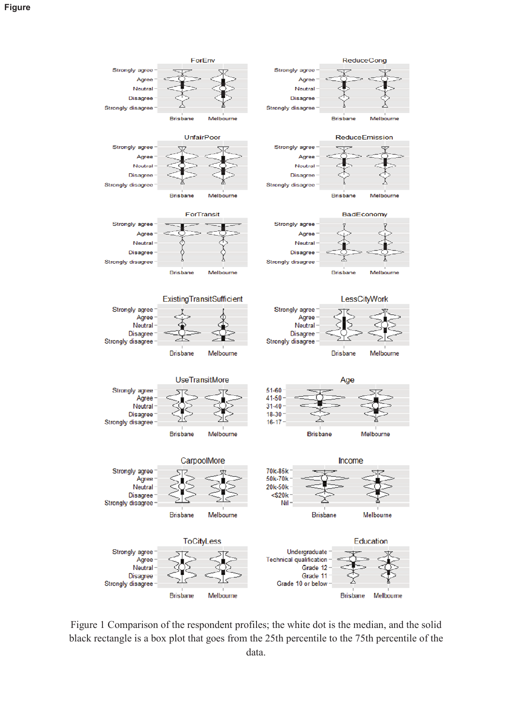

Figure 1 Comparison of the respondent profiles; the white dot is the median, and the solid black rectangle is a box plot that goes from the 25th percentile to the 75th percentile of the